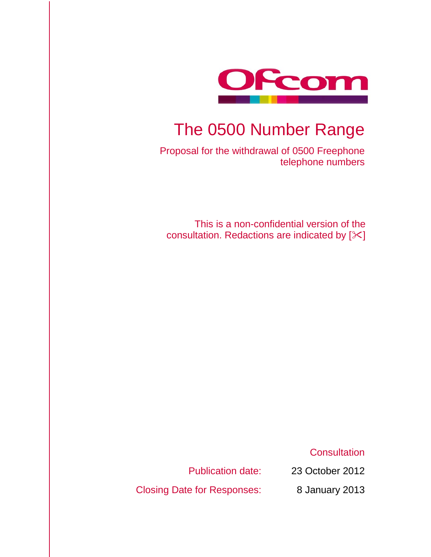

# The 0500 Number Range

Proposal for the withdrawal of 0500 Freephone telephone numbers

This is a non-confidential version of the consultation. Redactions are indicated by  $[\times]$ 

**Consultation** 

Publication date: 23 October 2012

Closing Date for Responses: 8 January 2013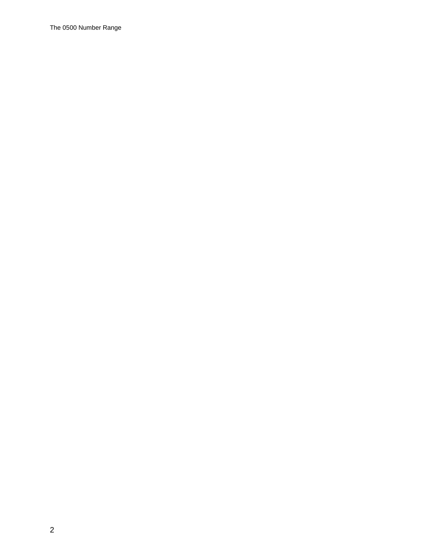The 0500 Number Range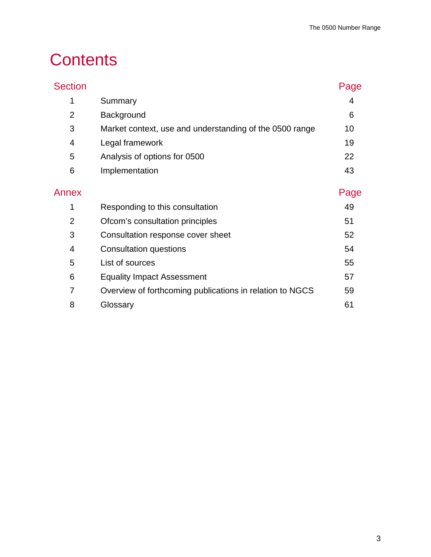# **Contents**

| Section        |                                                          | Page |
|----------------|----------------------------------------------------------|------|
| 1              | Summary                                                  | 4    |
| $\overline{2}$ | Background                                               | 6    |
| 3              | Market context, use and understanding of the 0500 range  | 10   |
| 4              | Legal framework                                          | 19   |
| 5              | Analysis of options for 0500                             | 22   |
| 6              | Implementation                                           | 43   |
| Annex          |                                                          | Page |
| 1              | Responding to this consultation                          | 49   |
| $\overline{2}$ | Ofcom's consultation principles                          | 51   |
| 3              | Consultation response cover sheet                        | 52   |
| 4              | <b>Consultation questions</b>                            | 54   |
| 5              | List of sources                                          | 55   |
| 6              | <b>Equality Impact Assessment</b>                        | 57   |
| 7              | Overview of forthcoming publications in relation to NGCS | 59   |
| 8              | Glossary                                                 | 61   |
|                |                                                          |      |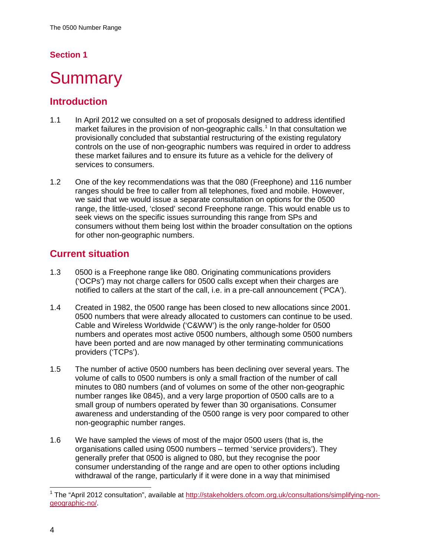# **Section 1**

# <span id="page-3-0"></span>**Summary**

# **Introduction**

- 1.1 In April 2012 we consulted on a set of proposals designed to address identified market failures in the provision of non-geographic calls.<sup>[1](#page-3-1)</sup> In that consultation we provisionally concluded that substantial restructuring of the existing regulatory controls on the use of non-geographic numbers was required in order to address these market failures and to ensure its future as a vehicle for the delivery of services to consumers.
- 1.2 One of the key recommendations was that the 080 (Freephone) and 116 number ranges should be free to caller from all telephones, fixed and mobile. However, we said that we would issue a separate consultation on options for the 0500 range, the little-used, 'closed' second Freephone range. This would enable us to seek views on the specific issues surrounding this range from SPs and consumers without them being lost within the broader consultation on the options for other non-geographic numbers.

# **Current situation**

- 1.3 0500 is a Freephone range like 080. Originating communications providers ('OCPs') may not charge callers for 0500 calls except when their charges are notified to callers at the start of the call, i.e. in a pre-call announcement ('PCA').
- 1.4 Created in 1982, the 0500 range has been closed to new allocations since 2001. 0500 numbers that were already allocated to customers can continue to be used. Cable and Wireless Worldwide ('C&WW') is the only range-holder for 0500 numbers and operates most active 0500 numbers, although some 0500 numbers have been ported and are now managed by other terminating communications providers ('TCPs').
- 1.5 The number of active 0500 numbers has been declining over several years. The volume of calls to 0500 numbers is only a small fraction of the number of call minutes to 080 numbers (and of volumes on some of the other non-geographic number ranges like 0845), and a very large proportion of 0500 calls are to a small group of numbers operated by fewer than 30 organisations. Consumer awareness and understanding of the 0500 range is very poor compared to other non-geographic number ranges.
- 1.6 We have sampled the views of most of the major 0500 users (that is, the organisations called using 0500 numbers – termed 'service providers'). They generally prefer that 0500 is aligned to 080, but they recognise the poor consumer understanding of the range and are open to other options including withdrawal of the range, particularly if it were done in a way that minimised

<span id="page-3-1"></span><sup>&</sup>lt;sup>1</sup> The "April 2012 consultation", available at [http://stakeholders.ofcom.org.uk/consultations/simplifying-non](http://stakeholders.ofcom.org.uk/consultations/simplifying-non-geographic-no/)[geographic-no/.](http://stakeholders.ofcom.org.uk/consultations/simplifying-non-geographic-no/)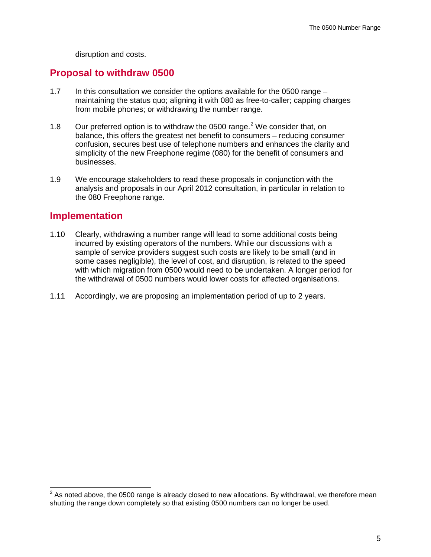disruption and costs.

# **Proposal to withdraw 0500**

- 1.7 In this consultation we consider the options available for the 0500 range maintaining the status quo; aligning it with 080 as free-to-caller; capping charges from mobile phones; or withdrawing the number range.
- 1.8 Our preferred option is to withdraw the 0500 range.<sup>[2](#page-4-0)</sup> We consider that, on balance, this offers the greatest net benefit to consumers – reducing consumer confusion, secures best use of telephone numbers and enhances the clarity and simplicity of the new Freephone regime (080) for the benefit of consumers and businesses.
- 1.9 We encourage stakeholders to read these proposals in conjunction with the analysis and proposals in our April 2012 consultation, in particular in relation to the 080 Freephone range.

# **Implementation**

- 1.10 Clearly, withdrawing a number range will lead to some additional costs being incurred by existing operators of the numbers. While our discussions with a sample of service providers suggest such costs are likely to be small (and in some cases negligible), the level of cost, and disruption, is related to the speed with which migration from 0500 would need to be undertaken. A longer period for the withdrawal of 0500 numbers would lower costs for affected organisations.
- 1.11 Accordingly, we are proposing an implementation period of up to 2 years.

<span id="page-4-0"></span> $2$  As noted above, the 0500 range is already closed to new allocations. By withdrawal, we therefore mean shutting the range down completely so that existing 0500 numbers can no longer be used.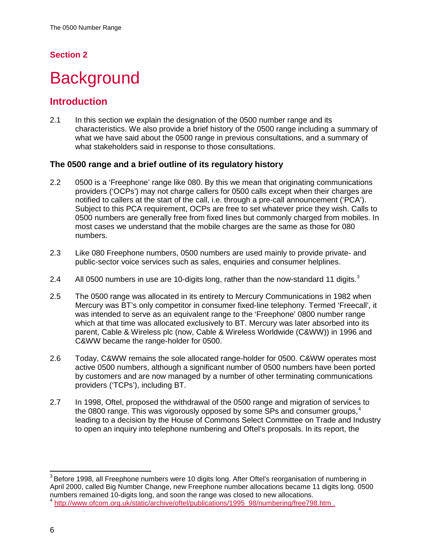# **Section 2**

# <span id="page-5-0"></span>**Background**

# **Introduction**

2.1 In this section we explain the designation of the 0500 number range and its characteristics. We also provide a brief history of the 0500 range including a summary of what we have said about the 0500 range in previous consultations, and a summary of what stakeholders said in response to those consultations.

## **The 0500 range and a brief outline of its regulatory history**

- 2.2 0500 is a 'Freephone' range like 080. By this we mean that originating communications providers ('OCPs') may not charge callers for 0500 calls except when their charges are notified to callers at the start of the call, i.e. through a pre-call announcement ('PCA'). Subject to this PCA requirement, OCPs are free to set whatever price they wish. Calls to 0500 numbers are generally free from fixed lines but commonly charged from mobiles. In most cases we understand that the mobile charges are the same as those for 080 numbers.
- 2.3 Like 080 Freephone numbers, 0500 numbers are used mainly to provide private- and public-sector voice services such as sales, enquiries and consumer helplines.
- 2.4 All 0500 numbers in use are 10-digits long, rather than the now-standard 11 digits. $3$
- 2.5 The 0500 range was allocated in its entirety to Mercury Communications in 1982 when Mercury was BT's only competitor in consumer fixed-line telephony. Termed 'Freecall', it was intended to serve as an equivalent range to the 'Freephone' 0800 number range which at that time was allocated exclusively to BT. Mercury was later absorbed into its parent, Cable & Wireless plc (now, Cable & Wireless Worldwide (C&WW)) in 1996 and C&WW became the range-holder for 0500.
- 2.6 Today, C&WW remains the sole allocated range-holder for 0500. C&WW operates most active 0500 numbers, although a significant number of 0500 numbers have been ported by customers and are now managed by a number of other terminating communications providers ('TCPs'), including BT.
- 2.7 In 1998, Oftel, proposed the withdrawal of the 0500 range and migration of services to the 0800 range. This was vigorously opposed by some SPs and consumer groups,<sup>[4](#page-5-2)</sup> leading to a decision by the House of Commons Select Committee on Trade and Industry to open an inquiry into telephone numbering and Oftel's proposals. In its report, the

<span id="page-5-1"></span> $3$  Before 1998, all Freephone numbers were 10 digits long. After Oftel's reorganisation of numbering in April 2000, called Big Number Change, new Freephone number allocations became 11 digits long. 0500<br>numbers remained 10-digits long, and soon the range was closed to new allocations.

<span id="page-5-2"></span><sup>&</sup>lt;sup>4</sup> http://www.ofcom.org.uk/static/archive/oftel/publications/1995\_98/numbering/free798.htm .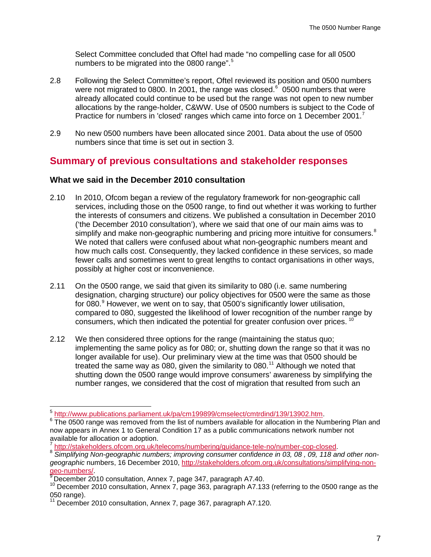Select Committee concluded that Oftel had made "no compelling case for all 0500 numbers to be migrated into the 0800 range".<sup>[5](#page-6-0)</sup>

- 2.8 Following the Select Committee's report, Oftel reviewed its position and 0500 numbers were not migrated to 0800. In 2001, the range was closed. $6\,$  $6\,$  0500 numbers that were already allocated could continue to be used but the range was not open to new number allocations by the range-holder, C&WW. Use of 0500 numbers is subject to the Code of Practice for numbers in 'closed' ranges which came into force on 1 December 2001.<sup>[7](#page-6-2)</sup>
- 2.9 No new 0500 numbers have been allocated since 2001. Data about the use of 0500 numbers since that time is set out in section 3.

# **Summary of previous consultations and stakeholder responses**

## **What we said in the December 2010 consultation**

- 2.10 In 2010, Ofcom began a review of the regulatory framework for non-geographic call services, including those on the 0500 range, to find out whether it was working to further the interests of consumers and citizens. We published a consultation in December 2010 ('the December 2010 consultation'), where we said that one of our main aims was to simplify and make non-geographic numbering and pricing more intuitive for consumers. $8$ We noted that callers were confused about what non-geographic numbers meant and how much calls cost. Consequently, they lacked confidence in these services, so made fewer calls and sometimes went to great lengths to contact organisations in other ways, possibly at higher cost or inconvenience.
- 2.11 On the 0500 range, we said that given its similarity to 080 (i.e. same numbering designation, charging structure) our policy objectives for 0500 were the same as those for  $080$ .<sup>[9](#page-6-4)</sup> However, we went on to say, that  $0500$ 's significantly lower utilisation, compared to 080, suggested the likelihood of lower recognition of the number range by consumers, which then indicated the potential for greater confusion over prices. [10](#page-6-5)
- 2.12 We then considered three options for the range (maintaining the status quo; implementing the same policy as for 080; or, shutting down the range so that it was no longer available for use). Our preliminary view at the time was that 0500 should be treated the same way as 080, given the similarity to 080.<sup>[11](#page-6-6)</sup> Although we noted that shutting down the 0500 range would improve consumers' awareness by simplifying the number ranges, we considered that the cost of migration that resulted from such an

<span id="page-6-1"></span>

<span id="page-6-0"></span> $\frac{5}{6}$  [http://www.publications.parliament.uk/pa/cm199899/cmselect/cmtrdind/139/13902.htm.](http://www.publications.parliament.uk/pa/cm199899/cmselect/cmtrdind/139/13902.htm)<br> $\frac{6}{6}$  The 0500 range was removed from the list of numbers available for allocation in the Numbering Plan and now appears in Annex 1 to General Condition 17 as a public communications network number not available for allocation or adoption.<br><sup>7</sup> http://stakeholders.ofcom.org.uk/telecoms/numbering/guidance-tele-no/number-cop-closed.

<span id="page-6-2"></span>

<span id="page-6-3"></span><sup>&</sup>lt;sup>8</sup> Simplifying Non-geographic numbers; improving consumer confidence in 03, 08, 09, 118 and other non*geographic* numbers, 16 December 2010, [http://stakeholders.ofcom.org.uk/consultations/simplifying-non](http://stakeholders.ofcom.org.uk/consultations/simplifying-non-geo-numbers/)[geo-numbers/.](http://stakeholders.ofcom.org.uk/consultations/simplifying-non-geo-numbers/)<br><sup>9</sup> December 2010 consultation, Annex 7, page 347, paragraph A7.40.

<span id="page-6-5"></span><span id="page-6-4"></span><sup>&</sup>lt;sup>10</sup> December 2010 consultation, Annex 7, page 363, paragraph A7.133 (referring to the 0500 range as the 050 range).

<span id="page-6-6"></span> $11$  December 2010 consultation, Annex 7, page 367, paragraph A7.120.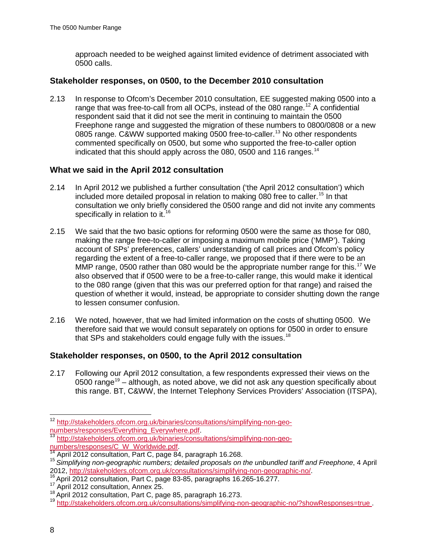approach needed to be weighed against limited evidence of detriment associated with 0500 calls.

## **Stakeholder responses, on 0500, to the December 2010 consultation**

2.13 In response to Ofcom's December 2010 consultation, EE suggested making 0500 into a range that was free-to-call from all OCPs, instead of the 080 range.<sup>[12](#page-7-0)</sup> A confidential respondent said that it did not see the merit in continuing to maintain the 0500 Freephone range and suggested the migration of these numbers to 0800/0808 or a new 0805 range. C&WW supported making 0500 free-to-caller.<sup>[13](#page-7-1)</sup> No other respondents commented specifically on 0500, but some who supported the free-to-caller option indicated that this should apply across the 080, 0500 and 116 ranges.<sup>[14](#page-7-2)</sup>

## **What we said in the April 2012 consultation**

- 2.14 In April 2012 we published a further consultation ('the April 2012 consultation') which included more detailed proposal in relation to making 080 free to caller.<sup>[15](#page-7-3)</sup> In that consultation we only briefly considered the 0500 range and did not invite any comments specifically in relation to it.<sup>[16](#page-7-4)</sup>
- 2.15 We said that the two basic options for reforming 0500 were the same as those for 080, making the range free-to-caller or imposing a maximum mobile price ('MMP'). Taking account of SPs' preferences, callers' understanding of call prices and Ofcom's policy regarding the extent of a free-to-caller range, we proposed that if there were to be an MMP range, 0500 rather than 080 would be the appropriate number range for this.<sup>[17](#page-7-5)</sup> We also observed that if 0500 were to be a free-to-caller range, this would make it identical to the 080 range (given that this was our preferred option for that range) and raised the question of whether it would, instead, be appropriate to consider shutting down the range to lessen consumer confusion.
- 2.16 We noted, however, that we had limited information on the costs of shutting 0500. We therefore said that we would consult separately on options for 0500 in order to ensure that SPs and stakeholders could engage fully with the issues.<sup>[18](#page-7-6)</sup>

## **Stakeholder responses, on 0500, to the April 2012 consultation**

2.17 Following our April 2012 consultation, a few respondents expressed their views on the 0500 range<sup>[19](#page-7-7)</sup> – although, as noted above, we did not ask any question specifically about this range. BT, C&WW, the Internet Telephony Services Providers' Association (ITSPA),

<span id="page-7-0"></span><sup>&</sup>lt;sup>12</sup> http://stakeholders.ofcom.org.uk/binaries/consultations/simplifying-non-geo-<br>numbers/responses/Everything Everywhere.pdf.

<span id="page-7-1"></span><sup>&</sup>lt;sup>13</sup> http://stakeholders.ofcom.org.uk/binaries/consultations/simplifying-non-geo-<br>numbers/responses/C\_W\_Worldwide.pdf.

<span id="page-7-2"></span> $\frac{14}{14}$  April 2012 consultation, Part C, page 84, paragraph 16.268.

<span id="page-7-3"></span><sup>&</sup>lt;sup>15</sup> Simplifying non-geographic numbers; detailed proposals on the unbundled tariff and Freephone, 4 April 2012, http://stakeholders.ofcom.org.uk/consultations/simplifying-non-geographic-no/.

<span id="page-7-4"></span><sup>&</sup>lt;sup>16</sup> April 2012 consultation, Part C, page 83-85, paragraphs 16.265-16.277.<br><sup>17</sup> April 2012 consultation, Annex 25.

<span id="page-7-7"></span><span id="page-7-6"></span>

<span id="page-7-5"></span><sup>18</sup> April 2012 consultation, Part C, page 85, paragraph 16.273.<br><sup>19</sup> [http://stakeholders.ofcom.org.uk/consultations/simplifying-non-geographic-no/?showResponses=true .](http://stakeholders.ofcom.org.uk/consultations/simplifying-non-geographic-no/?showResponses=true%20)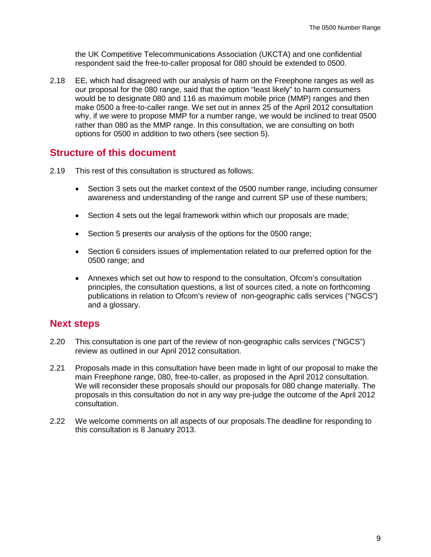the UK Competitive Telecommunications Association (UKCTA) and one confidential respondent said the free-to-caller proposal for 080 should be extended to 0500.

2.18 EE, which had disagreed with our analysis of harm on the Freephone ranges as well as our proposal for the 080 range, said that the option "least likely" to harm consumers would be to designate 080 and 116 as maximum mobile price (MMP) ranges and then make 0500 a free-to-caller range. We set out in annex 25 of the April 2012 consultation why, if we were to propose MMP for a number range, we would be inclined to treat 0500 rather than 080 as the MMP range. In this consultation, we are consulting on both options for 0500 in addition to two others (see section 5).

# **Structure of this document**

- 2.19 This rest of this consultation is structured as follows:
	- Section 3 sets out the market context of the 0500 number range, including consumer awareness and understanding of the range and current SP use of these numbers;
	- Section 4 sets out the legal framework within which our proposals are made;
	- Section 5 presents our analysis of the options for the 0500 range;
	- Section 6 considers issues of implementation related to our preferred option for the 0500 range; and
	- Annexes which set out how to respond to the consultation, Ofcom's consultation principles, the consultation questions, a list of sources cited, a note on forthcoming publications in relation to Ofcom's review of non-geographic calls services ("NGCS") and a glossary.

# **Next steps**

- 2.20 This consultation is one part of the review of non-geographic calls services ("NGCS") review as outlined in our April 2012 consultation.
- 2.21 Proposals made in this consultation have been made in light of our proposal to make the main Freephone range, 080, free-to-caller, as proposed in the April 2012 consultation. We will reconsider these proposals should our proposals for 080 change materially. The proposals in this consultation do not in any way pre-judge the outcome of the April 2012 consultation.
- 2.22 We welcome comments on all aspects of our proposals.The deadline for responding to this consultation is 8 January 2013.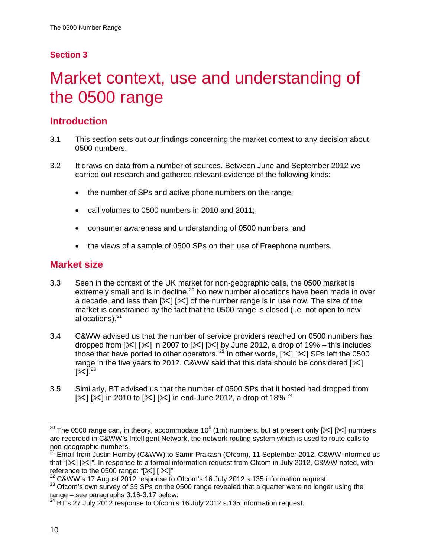# **Section 3**

# <span id="page-9-0"></span>Market context, use and understanding of the 0500 range

# **Introduction**

- 3.1 This section sets out our findings concerning the market context to any decision about 0500 numbers.
- 3.2 It draws on data from a number of sources. Between June and September 2012 we carried out research and gathered relevant evidence of the following kinds:
	- the number of SPs and active phone numbers on the range;
	- call volumes to 0500 numbers in 2010 and 2011;
	- consumer awareness and understanding of 0500 numbers; and
	- the views of a sample of 0500 SPs on their use of Freephone numbers.

# **Market size**

- 3.3 Seen in the context of the UK market for non-geographic calls, the 0500 market is extremely small and is in decline.<sup>[20](#page-9-1)</sup> No new number allocations have been made in over a decade, and less than  $[\times] [\times]$  of the number range is in use now. The size of the market is constrained by the fact that the 0500 range is closed (i.e. not open to new allocations). $21$
- 3.4 C&WW advised us that the number of service providers reached on 0500 numbers has dropped from  $[\times] [\times]$  in 2007 to  $[\times] [\times]$  by June 2012, a drop of 19% – this includes those that have ported to other operators. <sup>[22](#page-9-3)</sup> In other words,  $[\times] [\times]$  SPs left the 0500 range in the five years to 2012. C&WW said that this data should be considered  $[\times]$  $[\times]$ <sup>[23](#page-9-4)</sup>
- 3.5 Similarly, BT advised us that the number of 0500 SPs that it hosted had dropped from  $[\times]$  [ $[\times]$ ] in 2010 to [ $[\times]$  [ $[\times]$ ] in end-June 2012, a drop of 18%.<sup>[24](#page-9-5)</sup>

<span id="page-9-1"></span><sup>&</sup>lt;sup>20</sup> The 0500 range can, in theory, accommodate 10<sup>6</sup> (1m) numbers, but at present only [ $\ge$ ] [ $\ge$ ] numbers are recorded in C&WW's Intelligent Network, the network routing system which is used to route calls to

<span id="page-9-2"></span> $21$  Email from Justin Hornby (C&WW) to Samir Prakash (Ofcom), 11 September 2012. C&WW informed us that "[ $\ll$ ] [ $\ll$ ]". In response to a formal information request from Ofcom in July 2012, C&WW noted, with reference to the 0500 range: " $\ll$ ] [ $\ll$ ]"

<span id="page-9-4"></span><span id="page-9-3"></span><sup>&</sup>lt;sup>22</sup> C&WW's 17 August 2012 response to Ofcom's 16 July 2012 s.135 information request.<br><sup>23</sup> Ofcom's own survey of 35 SPs on the 0500 range revealed that a quarter were no longer using the range – see paragraphs 3.16-3.17 below.

<span id="page-9-5"></span> $^{24}$  BT's 27 July 2012 response to Ofcom's 16 July 2012 s.135 information request.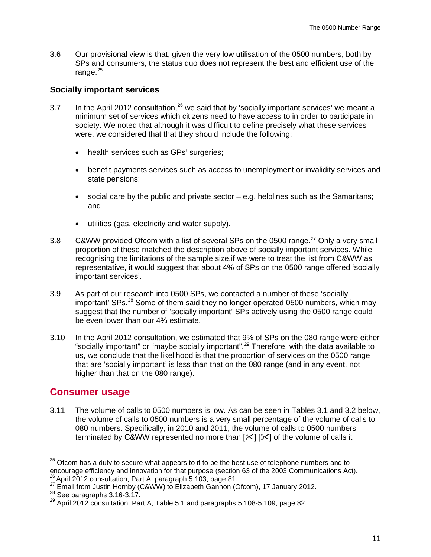3.6 Our provisional view is that, given the very low utilisation of the 0500 numbers, both by SPs and consumers, the status quo does not represent the best and efficient use of the range. $25$ 

## **Socially important services**

- 3.7 In the April 2012 consultation, $^{26}$  $^{26}$  $^{26}$  we said that by 'socially important services' we meant a minimum set of services which citizens need to have access to in order to participate in society. We noted that although it was difficult to define precisely what these services were, we considered that that they should include the following:
	- health services such as GPs' surgeries;
	- benefit payments services such as access to unemployment or invalidity services and state pensions;
	- social care by the public and private sector  $-$  e.g. helplines such as the Samaritans; and
	- utilities (gas, electricity and water supply).
- 3.8 C&WW provided Ofcom with a list of several SPs on the 0500 range.<sup>[27](#page-10-2)</sup> Only a very small proportion of these matched the description above of socially important services. While recognising the limitations of the sample size,if we were to treat the list from C&WW as representative, it would suggest that about 4% of SPs on the 0500 range offered 'socially important services'.
- 3.9 As part of our research into 0500 SPs, we contacted a number of these 'socially important' SPs.<sup>[28](#page-10-3)</sup> Some of them said they no longer operated 0500 numbers, which may suggest that the number of 'socially important' SPs actively using the 0500 range could be even lower than our 4% estimate.
- 3.10 In the April 2012 consultation, we estimated that 9% of SPs on the 080 range were either "socially important" or "maybe socially important".<sup>[29](#page-10-4)</sup> Therefore, with the data available to us, we conclude that the likelihood is that the proportion of services on the 0500 range that are 'socially important' is less than that on the 080 range (and in any event, not higher than that on the 080 range).

# **Consumer usage**

3.11 The volume of calls to 0500 numbers is low. As can be seen in Tables 3.1 and 3.2 below, the volume of calls to 0500 numbers is a very small percentage of the volume of calls to 080 numbers. Specifically, in 2010 and 2011, the volume of calls to 0500 numbers terminated by C&WW represented no more than  $[\times] [\times]$  of the volume of calls it

<span id="page-10-0"></span> $25$  Ofcom has a duty to secure what appears to it to be the best use of telephone numbers and to encourage efficiency and innovation for that purpose (section 63 of the 2003 Communications Act).

<span id="page-10-2"></span><span id="page-10-1"></span><sup>&</sup>lt;sup>26</sup> April 2012 consultation, Part A, paragraph 5.103, page 81.<br>
<sup>27</sup> Email from Justin Hornby (C&WW) to Elizabeth Gannon (Ofcom), 17 January 2012.<br>
<sup>28</sup> See paragraphs 3.16-3.17.<br>
<sup>29</sup> April 2012 consultation, Part A, Ta

<span id="page-10-3"></span>

<span id="page-10-4"></span>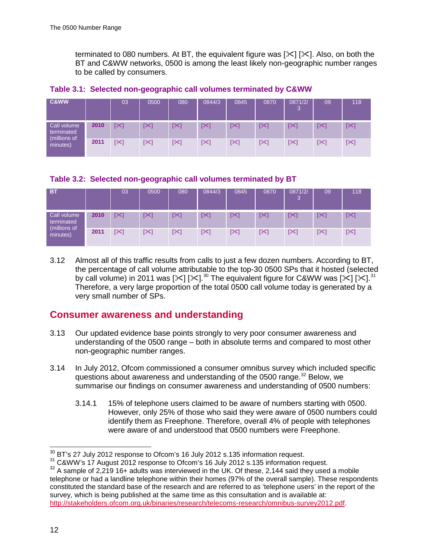terminated to 080 numbers. At BT, the equivalent figure was  $[\times] [\times]$ . Also, on both the BT and C&WW networks, 0500 is among the least likely non-geographic number ranges to be called by consumers.

|  |  |  |  | Table 3.1: Selected non-geographic call volumes terminated by C&WW |
|--|--|--|--|--------------------------------------------------------------------|
|--|--|--|--|--------------------------------------------------------------------|

| C&WW                      |      | 03                     | 0500         | 080        | 0844/3 | 0845       | 0870       | 0871/2/ | 09              | 118        |
|---------------------------|------|------------------------|--------------|------------|--------|------------|------------|---------|-----------------|------------|
| Call volume<br>terminated | 2010 | $\mathsf{I}\mathsf{X}$ | $\mathbb{R}$ | $[\times]$ | [⊱     | $[\times]$ | $[\times]$ | [⊁`     | $ \mathcal{X} $ | $[\times]$ |
| (millions of<br>minutes)  | 2011 | <b>SX1</b>             | [≻]          | [≻]        | 1X1    | [≻]        | $[\times]$ | [≻      | [≻]             | $[\times]$ |

## **Table 3.2: Selected non-geographic call volumes terminated by BT**

| <b>BT</b>                                 |      | 03                     | 0500                   | 080        | 0844/3       | 0845 | 0870       | 0871/2/<br>3 | 09              | 118           |
|-------------------------------------------|------|------------------------|------------------------|------------|--------------|------|------------|--------------|-----------------|---------------|
| Call volume<br>terminated<br>(millions of | 2010 | $\mathsf{I}\mathsf{X}$ | $\mathsf{I}\mathsf{X}$ | $[\times]$ | $\mathbb{R}$ | [≻]  | $[\times]$ | [╳           | $\mathbb{R}$    | $[\times]$    |
| minutes)                                  | 2011 | [≻                     | [≻]                    | [≻]        | [≻           | [≻]  | [≻]        | [≻           | $ \mathcal{X} $ | [ $\bowtie$ ] |

3.12 Almost all of this traffic results from calls to just a few dozen numbers. According to BT, the percentage of call volume attributable to the top-30 0500 SPs that it hosted (selected by call volume) in 2011 was [ $\ll$ ] [ $\ll$ ]. $^{30}$  $^{30}$  $^{30}$  The equivalent figure for C&WW was [ $\ll$ ] [ $\ll$ ]. $^{31}$  $^{31}$  $^{31}$ Therefore, a very large proportion of the total 0500 call volume today is generated by a very small number of SPs.

# **Consumer awareness and understanding**

- 3.13 Our updated evidence base points strongly to very poor consumer awareness and understanding of the 0500 range – both in absolute terms and compared to most other non-geographic number ranges.
- 3.14 In July 2012, Ofcom commissioned a consumer omnibus survey which included specific questions about awareness and understanding of the 0500 range.<sup>[32](#page-11-2)</sup> Below, we summarise our findings on consumer awareness and understanding of 0500 numbers:
	- 3.14.1 15% of telephone users claimed to be aware of numbers starting with 0500. However, only 25% of those who said they were aware of 0500 numbers could identify them as Freephone. Therefore, overall 4% of people with telephones were aware of and understood that 0500 numbers were Freephone.

<span id="page-11-2"></span><span id="page-11-1"></span>

<span id="page-11-0"></span><sup>&</sup>lt;sup>30</sup> BT's 27 July 2012 response to Ofcom's 16 July 2012 s.135 information request.<br><sup>31</sup> C&WW's 17 August 2012 response to Ofcom's 16 July 2012 s.135 information request.<br><sup>32</sup> A sample of 2,219 16+ adults was interviewed i telephone or had a landline telephone within their homes (97% of the overall sample). These respondents constituted the standard base of the research and are referred to as 'telephone users' in the report of the survey, which is being published at the same time as this consultation and is available at: [http://stakeholders.ofcom.org.uk/binaries/research/telecoms-research/omnibus-survey2012.pdf.](http://stakeholders.ofcom.org.uk/binaries/research/telecoms-research/omnibus-survey2012.pdf)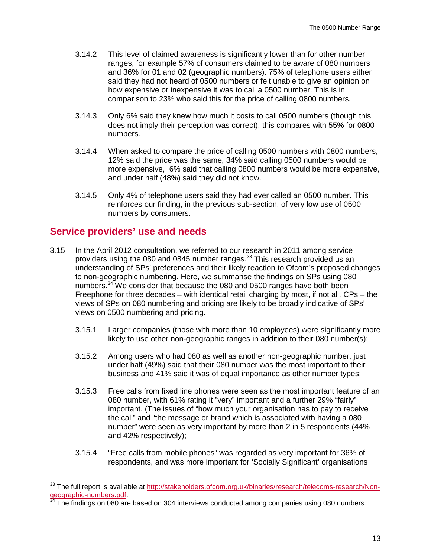- 3.14.2 This level of claimed awareness is significantly lower than for other number ranges, for example 57% of consumers claimed to be aware of 080 numbers and 36% for 01 and 02 (geographic numbers). 75% of telephone users either said they had not heard of 0500 numbers or felt unable to give an opinion on how expensive or inexpensive it was to call a 0500 number. This is in comparison to 23% who said this for the price of calling 0800 numbers.
- 3.14.3 Only 6% said they knew how much it costs to call 0500 numbers (though this does not imply their perception was correct); this compares with 55% for 0800 numbers.
- 3.14.4 When asked to compare the price of calling 0500 numbers with 0800 numbers, 12% said the price was the same, 34% said calling 0500 numbers would be more expensive, 6% said that calling 0800 numbers would be more expensive, and under half (48%) said they did not know.
- 3.14.5 Only 4% of telephone users said they had ever called an 0500 number. This reinforces our finding, in the previous sub-section, of very low use of 0500 numbers by consumers.

# **Service providers' use and needs**

- 3.15 In the April 2012 consultation, we referred to our research in 2011 among service providers using the 080 and 0845 number ranges.<sup>[33](#page-12-0)</sup> This research provided us an understanding of SPs' preferences and their likely reaction to Ofcom's proposed changes to non-geographic numbering. Here, we summarise the findings on SPs using 080 numbers.<sup>[34](#page-12-1)</sup> We consider that because the 080 and 0500 ranges have both been Freephone for three decades – with identical retail charging by most, if not all, CPs – the views of SPs on 080 numbering and pricing are likely to be broadly indicative of SPs' views on 0500 numbering and pricing.
	- 3.15.1 Larger companies (those with more than 10 employees) were significantly more likely to use other non-geographic ranges in addition to their 080 number(s);
	- 3.15.2 Among users who had 080 as well as another non-geographic number, just under half (49%) said that their 080 number was the most important to their business and 41% said it was of equal importance as other number types;
	- 3.15.3 Free calls from fixed line phones were seen as the most important feature of an 080 number, with 61% rating it "very" important and a further 29% "fairly" important. (The issues of "how much your organisation has to pay to receive the call" and "the message or brand which is associated with having a 080 number" were seen as very important by more than 2 in 5 respondents (44% and 42% respectively);
	- 3.15.4 "Free calls from mobile phones" was regarded as very important for 36% of respondents, and was more important for 'Socially Significant' organisations

<span id="page-12-0"></span><sup>&</sup>lt;sup>33</sup> The full report is available at [http://stakeholders.ofcom.org.uk/binaries/research/telecoms-research/Non](http://stakeholders.ofcom.org.uk/binaries/research/telecoms-research/Non-geographic-numbers.pdf)[geographic-numbers.pdf.](http://stakeholders.ofcom.org.uk/binaries/research/telecoms-research/Non-geographic-numbers.pdf)<br><sup>34</sup> The findings on 080 are based on 304 interviews conducted among companies using 080 numbers.

<span id="page-12-1"></span>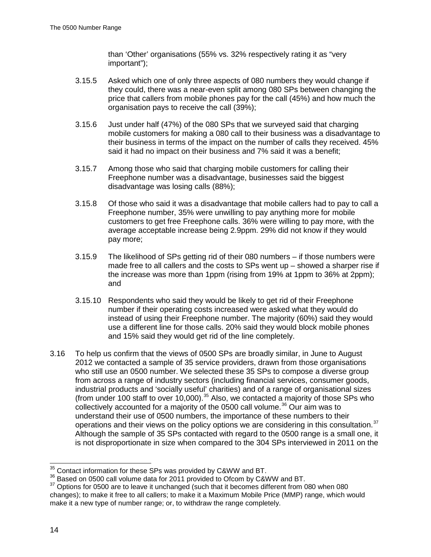than 'Other' organisations (55% vs. 32% respectively rating it as "very important");

- 3.15.5 Asked which one of only three aspects of 080 numbers they would change if they could, there was a near-even split among 080 SPs between changing the price that callers from mobile phones pay for the call (45%) and how much the organisation pays to receive the call (39%);
- 3.15.6 Just under half (47%) of the 080 SPs that we surveyed said that charging mobile customers for making a 080 call to their business was a disadvantage to their business in terms of the impact on the number of calls they received. 45% said it had no impact on their business and 7% said it was a benefit;
- 3.15.7 Among those who said that charging mobile customers for calling their Freephone number was a disadvantage, businesses said the biggest disadvantage was losing calls (88%);
- 3.15.8 Of those who said it was a disadvantage that mobile callers had to pay to call a Freephone number, 35% were unwilling to pay anything more for mobile customers to get free Freephone calls. 36% were willing to pay more, with the average acceptable increase being 2.9ppm. 29% did not know if they would pay more;
- 3.15.9 The likelihood of SPs getting rid of their 080 numbers if those numbers were made free to all callers and the costs to SPs went up – showed a sharper rise if the increase was more than 1ppm (rising from 19% at 1ppm to 36% at 2ppm); and
- 3.15.10 Respondents who said they would be likely to get rid of their Freephone number if their operating costs increased were asked what they would do instead of using their Freephone number. The majority (60%) said they would use a different line for those calls. 20% said they would block mobile phones and 15% said they would get rid of the line completely.
- 3.16 To help us confirm that the views of 0500 SPs are broadly similar, in June to August 2012 we contacted a sample of 35 service providers, drawn from those organisations who still use an 0500 number. We selected these 35 SPs to compose a diverse group from across a range of industry sectors (including financial services, consumer goods, industrial products and 'socially useful' charities) and of a range of organisational sizes (from under 100 staff to over 10,000). $35$  Also, we contacted a majority of those SPs who collectively accounted for a majority of the 0500 call volume.<sup>[36](#page-13-1)</sup> Our aim was to understand their use of 0500 numbers, the importance of these numbers to their operations and their views on the policy options we are considering in this consultation. $37$ Although the sample of 35 SPs contacted with regard to the 0500 range is a small one, it is not disproportionate in size when compared to the 304 SPs interviewed in 2011 on the

<span id="page-13-2"></span>

<span id="page-13-1"></span><span id="page-13-0"></span> $^{35}$  Contact information for these SPs was provided by C&WW and BT.<br> $^{36}$  Based on 0500 call volume data for 2011 provided to Ofcom by C&WW and BT.<br> $^{37}$  Options for 0500 are to leave it unchanged (such that it become changes); to make it free to all callers; to make it a Maximum Mobile Price (MMP) range, which would make it a new type of number range; or, to withdraw the range completely.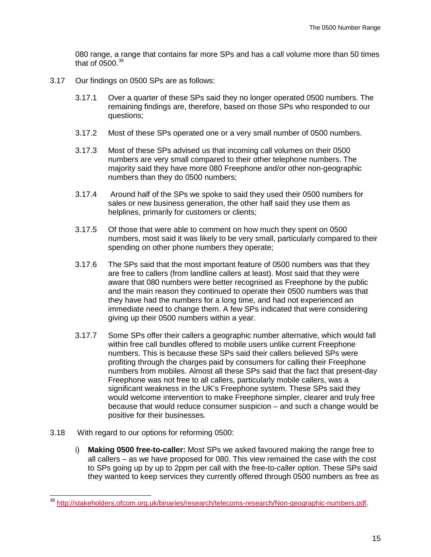080 range, a range that contains far more SPs and has a call volume more than 50 times that of  $0500.^{38}$  $0500.^{38}$  $0500.^{38}$ 

- 3.17 Our findings on 0500 SPs are as follows:
	- 3.17.1 Over a quarter of these SPs said they no longer operated 0500 numbers. The remaining findings are, therefore, based on those SPs who responded to our questions;
	- 3.17.2 Most of these SPs operated one or a very small number of 0500 numbers.
	- 3.17.3 Most of these SPs advised us that incoming call volumes on their 0500 numbers are very small compared to their other telephone numbers. The majority said they have more 080 Freephone and/or other non-geographic numbers than they do 0500 numbers;
	- 3.17.4 Around half of the SPs we spoke to said they used their 0500 numbers for sales or new business generation, the other half said they use them as helplines, primarily for customers or clients;
	- 3.17.5 Of those that were able to comment on how much they spent on 0500 numbers, most said it was likely to be very small, particularly compared to their spending on other phone numbers they operate;
	- 3.17.6 The SPs said that the most important feature of 0500 numbers was that they are free to callers (from landline callers at least). Most said that they were aware that 080 numbers were better recognised as Freephone by the public and the main reason they continued to operate their 0500 numbers was that they have had the numbers for a long time, and had not experienced an immediate need to change them. A few SPs indicated that were considering giving up their 0500 numbers within a year.
	- 3.17.7 Some SPs offer their callers a geographic number alternative, which would fall within free call bundles offered to mobile users unlike current Freephone numbers. This is because these SPs said their callers believed SPs were profiting through the charges paid by consumers for calling their Freephone numbers from mobiles. Almost all these SPs said that the fact that present-day Freephone was not free to all callers, particularly mobile callers, was a significant weakness in the UK's Freephone system. These SPs said they would welcome intervention to make Freephone simpler, clearer and truly free because that would reduce consumer suspicion – and such a change would be positive for their businesses.
- 3.18 With regard to our options for reforming 0500:
	- i) **Making 0500 free-to-caller:** Most SPs we asked favoured making the range free to all callers – as we have proposed for 080. This view remained the case with the cost to SPs going up by up to 2ppm per call with the free-to-caller option. These SPs said they wanted to keep services they currently offered through 0500 numbers as free as

<span id="page-14-0"></span><sup>&</sup>lt;sup>38</sup> [http://stakeholders.ofcom.org.uk/binaries/research/telecoms-research/Non-geographic-numbers.pdf.](http://stakeholders.ofcom.org.uk/binaries/research/telecoms-research/Non-geographic-numbers.pdf)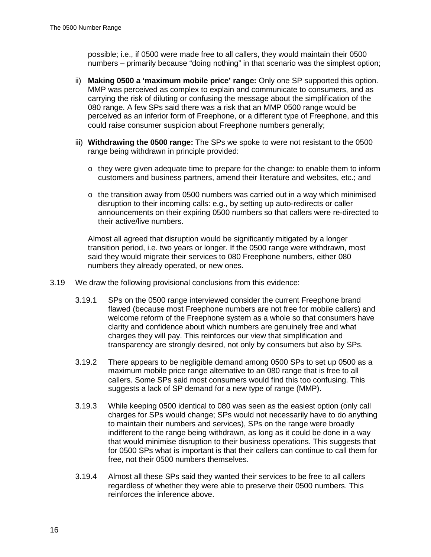possible; i.e., if 0500 were made free to all callers, they would maintain their 0500 numbers – primarily because "doing nothing" in that scenario was the simplest option;

- ii) **Making 0500 a 'maximum mobile price' range:** Only one SP supported this option. MMP was perceived as complex to explain and communicate to consumers, and as carrying the risk of diluting or confusing the message about the simplification of the 080 range. A few SPs said there was a risk that an MMP 0500 range would be perceived as an inferior form of Freephone, or a different type of Freephone, and this could raise consumer suspicion about Freephone numbers generally;
- iii) **Withdrawing the 0500 range:** The SPs we spoke to were not resistant to the 0500 range being withdrawn in principle provided:
	- $\circ$  they were given adequate time to prepare for the change: to enable them to inform customers and business partners, amend their literature and websites, etc.; and
	- $\circ$  the transition away from 0500 numbers was carried out in a way which minimised disruption to their incoming calls: e.g., by setting up auto-redirects or caller announcements on their expiring 0500 numbers so that callers were re-directed to their active/live numbers.

Almost all agreed that disruption would be significantly mitigated by a longer transition period, i.e. two years or longer. If the 0500 range were withdrawn, most said they would migrate their services to 080 Freephone numbers, either 080 numbers they already operated, or new ones.

- 3.19 We draw the following provisional conclusions from this evidence:
	- 3.19.1 SPs on the 0500 range interviewed consider the current Freephone brand flawed (because most Freephone numbers are not free for mobile callers) and welcome reform of the Freephone system as a whole so that consumers have clarity and confidence about which numbers are genuinely free and what charges they will pay. This reinforces our view that simplification and transparency are strongly desired, not only by consumers but also by SPs.
	- 3.19.2 There appears to be negligible demand among 0500 SPs to set up 0500 as a maximum mobile price range alternative to an 080 range that is free to all callers. Some SPs said most consumers would find this too confusing. This suggests a lack of SP demand for a new type of range (MMP).
	- 3.19.3 While keeping 0500 identical to 080 was seen as the easiest option (only call charges for SPs would change; SPs would not necessarily have to do anything to maintain their numbers and services), SPs on the range were broadly indifferent to the range being withdrawn, as long as it could be done in a way that would minimise disruption to their business operations. This suggests that for 0500 SPs what is important is that their callers can continue to call them for free, not their 0500 numbers themselves.
	- 3.19.4 Almost all these SPs said they wanted their services to be free to all callers regardless of whether they were able to preserve their 0500 numbers. This reinforces the inference above.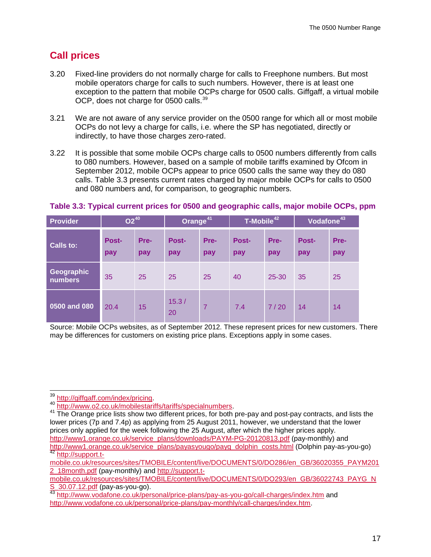# **Call prices**

- 3.20 Fixed-line providers do not normally charge for calls to Freephone numbers. But most mobile operators charge for calls to such numbers. However, there is at least one exception to the pattern that mobile OCPs charge for 0500 calls. Giffgaff, a virtual mobile OCP, does not charge for 0500 calls.<sup>[39](#page-16-0)</sup>
- 3.21 We are not aware of any service provider on the 0500 range for which all or most mobile OCPs do not levy a charge for calls, i.e. where the SP has negotiated, directly or indirectly, to have those charges zero-rated.
- 3.22 It is possible that some mobile OCPs charge calls to 0500 numbers differently from calls to 080 numbers. However, based on a sample of mobile tariffs examined by Ofcom in September 2012, mobile OCPs appear to price 0500 calls the same way they do 080 calls. Table 3.3 presents current rates charged by major mobile OCPs for calls to 0500 and 080 numbers and, for comparison, to geographic numbers.

| <b>Provider</b>              | $O2^{40}$    |             | Orange <sup>41</sup> |             | $T-Mobile42$ |             | Vodafone <sup>43</sup> |             |
|------------------------------|--------------|-------------|----------------------|-------------|--------------|-------------|------------------------|-------------|
| <b>Calls to:</b>             | Post-<br>pay | Pre-<br>pay | Post-<br>pay         | Pre-<br>pay | Post-<br>pay | Pre-<br>pay | Post-<br>pay           | Pre-<br>pay |
| <b>Geographic</b><br>numbers | 35           | 25          | 25                   | 25          | 40           | 25-30       | 35                     | 25          |
| 0500 and 080                 | 20.4         | 15          | 15.3/<br>20          | 7           | 7.4          | 7/20        | 14                     | 14          |

## **Table 3.3: Typical current prices for 0500 and geographic calls, major mobile OCPs, ppm**

Source: Mobile OCPs websites, as of September 2012. These represent prices for new customers. There may be differences for customers on existing price plans. Exceptions apply in some cases.

<span id="page-16-2"></span>

<span id="page-16-1"></span><span id="page-16-0"></span><sup>&</sup>lt;sup>39</sup> [http://giffgaff.com/index/pricing.](http://giffgaff.com/index/pricing)<br><sup>40</sup> [http://www.o2.co.uk/mobilestariffs/tariffs/specialnumbers.](http://www.o2.co.uk/mobilestariffs/tariffs/specialnumbers)<br><sup>41</sup> The Orange price lists show two different prices, for both pre-pay and post-pay contracts, and lists the lower prices (7p and 7.4p) as applying from 25 August 2011, however, we understand that the lower prices only applied for the week following the 25 August, after which the higher prices apply. [http://www1.orange.co.uk/service\\_plans/downloads/PAYM-PG-20120813.pdf](http://www1.orange.co.uk/service_plans/downloads/PAYM-PG-20120813.pdf) (pay-monthly) and http://www1.orange.co.uk/service\_plans/payasyougo/payg\_dolphin\_costs.html (Dolphin pay-as-you-go) [42](http://www1.orange.co.uk/service_plans/payasyougo/payg_dolphin_costs.html) http://support.t-

<span id="page-16-3"></span>[mobile.co.uk/resources/sites/TMOBILE/content/live/DOCUMENTS/0/DO286/en\\_GB/36020355\\_PAYM201](http://support.t-mobile.co.uk/resources/sites/TMOBILE/content/live/DOCUMENTS/0/DO286/en_GB/36020355_PAYM2012_18month.pdf) [2\\_18month.pdf](http://support.t-mobile.co.uk/resources/sites/TMOBILE/content/live/DOCUMENTS/0/DO286/en_GB/36020355_PAYM2012_18month.pdf) (pay-monthly) and [http://support.t-](http://support.t-mobile.co.uk/resources/sites/TMOBILE/content/live/DOCUMENTS/0/DO293/en_GB/36022743_PAYG_NS_30.07.12.pdf)

[mobile.co.uk/resources/sites/TMOBILE/content/live/DOCUMENTS/0/DO293/en\\_GB/36022743\\_PAYG\\_N](http://support.t-mobile.co.uk/resources/sites/TMOBILE/content/live/DOCUMENTS/0/DO293/en_GB/36022743_PAYG_NS_30.07.12.pdf)<br>S\_30.07.12.pdf (pay-as-you-go).

<span id="page-16-4"></span><http://www.vodafone.co.uk/personal/price-plans/pay-as-you-go/call-charges/index.htm> and [http://www.vodafone.co.uk/personal/price-plans/pay-monthly/call-charges/index.htm.](http://www.vodafone.co.uk/personal/price-plans/pay-monthly/call-charges/index.htm)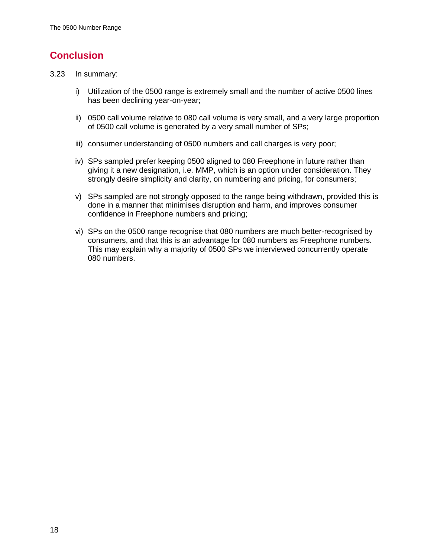# **Conclusion**

- 3.23 In summary:
	- i) Utilization of the 0500 range is extremely small and the number of active 0500 lines has been declining year-on-year;
	- ii) 0500 call volume relative to 080 call volume is very small, and a very large proportion of 0500 call volume is generated by a very small number of SPs;
	- iii) consumer understanding of 0500 numbers and call charges is very poor;
	- iv) SPs sampled prefer keeping 0500 aligned to 080 Freephone in future rather than giving it a new designation, i.e. MMP, which is an option under consideration. They strongly desire simplicity and clarity, on numbering and pricing, for consumers;
	- v) SPs sampled are not strongly opposed to the range being withdrawn, provided this is done in a manner that minimises disruption and harm, and improves consumer confidence in Freephone numbers and pricing;
	- vi) SPs on the 0500 range recognise that 080 numbers are much better-recognised by consumers, and that this is an advantage for 080 numbers as Freephone numbers. This may explain why a majority of 0500 SPs we interviewed concurrently operate 080 numbers.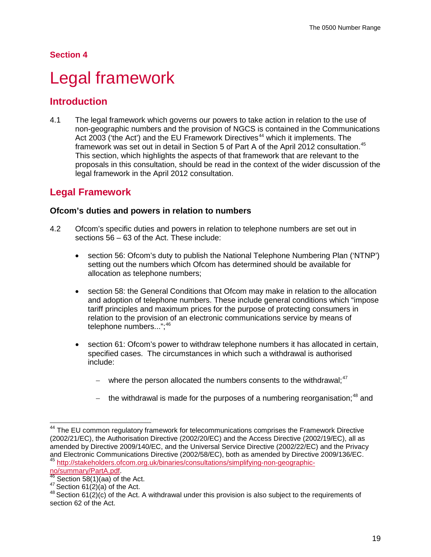## **Section 4**

# <span id="page-18-0"></span>**Legal framework**

# **Introduction**

4.1 The legal framework which governs our powers to take action in relation to the use of non-geographic numbers and the provision of NGCS is contained in the Communications Act  $2003$  ('the Act') and the EU Framework Directives<sup>[44](#page-18-1)</sup> which it implements. The framework was set out in detail in Section 5 of Part A of the April 2012 consultation.<sup>[45](#page-18-2)</sup> This section, which highlights the aspects of that framework that are relevant to the proposals in this consultation, should be read in the context of the wider discussion of the legal framework in the April 2012 consultation.

# **Legal Framework**

## **Ofcom's duties and powers in relation to numbers**

- 4.2 Ofcom's specific duties and powers in relation to telephone numbers are set out in sections 56 – 63 of the Act. These include:
	- section 56: Ofcom's duty to publish the National Telephone Numbering Plan ('NTNP') setting out the numbers which Ofcom has determined should be available for allocation as telephone numbers;
	- section 58: the General Conditions that Ofcom may make in relation to the allocation and adoption of telephone numbers. These include general conditions which "impose tariff principles and maximum prices for the purpose of protecting consumers in relation to the provision of an electronic communications service by means of telephone numbers...";<sup>46</sup>
	- section 61: Ofcom's power to withdraw telephone numbers it has allocated in certain, specified cases. The circumstances in which such a withdrawal is authorised include:
		- − where the person allocated the numbers consents to the withdrawal:<sup>[47](#page-18-4)</sup>
		- − the withdrawal is made for the purposes of a numbering reorganisation;<sup>[48](#page-18-5)</sup> and

<span id="page-18-1"></span><sup>&</sup>lt;sup>44</sup> The EU common regulatory framework for telecommunications comprises the Framework Directive (2002/21/EC), the Authorisation Directive (2002/20/EC) and the Access Directive (2002/19/EC), all as amended by Directive 2009/140/EC, and the Universal Service Directive (2002/22/EC) and the Privacy and Electronic Communications Directive (2002/58/EC), both as amended by Directive 2009/136/EC. <sup>45</sup> http://stakeholders.ofcom.org.uk/binaries/consultations/simplifying-non-geographic-<br>no/summary/PartA.pdf.

<span id="page-18-2"></span>

<span id="page-18-5"></span>

<span id="page-18-4"></span><span id="page-18-3"></span><sup>&</sup>lt;sup>[46](http://stakeholders.ofcom.org.uk/binaries/consultations/simplifying-non-geographic-no/summary/PartA.pdf)</sup> Section 58(1)(aa) of the Act.<br><sup>47</sup> Section 61(2)(a) of the Act.<br><sup>48</sup> Section 61(2)(c) of the Act. A withdrawal under this provision is also subject to the requirements of section 62 of the Act.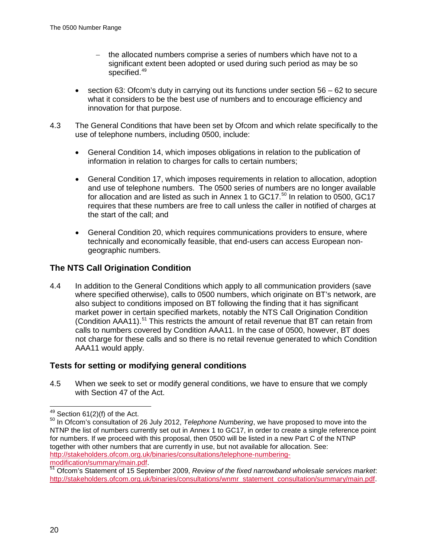- the allocated numbers comprise a series of numbers which have not to a significant extent been adopted or used during such period as may be so specified.<sup>[49](#page-19-0)</sup>
- section 63: Ofcom's duty in carrying out its functions under section 56 62 to secure what it considers to be the best use of numbers and to encourage efficiency and innovation for that purpose.
- 4.3 The General Conditions that have been set by Ofcom and which relate specifically to the use of telephone numbers, including 0500, include:
	- General Condition 14, which imposes obligations in relation to the publication of information in relation to charges for calls to certain numbers;
	- General Condition 17, which imposes requirements in relation to allocation, adoption and use of telephone numbers. The 0500 series of numbers are no longer available for allocation and are listed as such in Annex 1 to GC17.<sup>[50](#page-19-1)</sup> In relation to 0500, GC17 requires that these numbers are free to call unless the caller in notified of charges at the start of the call; and
	- General Condition 20, which requires communications providers to ensure, where technically and economically feasible, that end-users can access European nongeographic numbers.

# **The NTS Call Origination Condition**

4.4 In addition to the General Conditions which apply to all communication providers (save where specified otherwise), calls to 0500 numbers, which originate on BT's network, are also subject to conditions imposed on BT following the finding that it has significant market power in certain specified markets, notably the NTS Call Origination Condition (Condition AAA11).<sup>[51](#page-19-2)</sup> This restricts the amount of retail revenue that BT can retain from calls to numbers covered by Condition AAA11. In the case of 0500, however, BT does not charge for these calls and so there is no retail revenue generated to which Condition AAA11 would apply.

## **Tests for setting or modifying general conditions**

4.5 When we seek to set or modify general conditions, we have to ensure that we comply with Section 47 of the Act.

<span id="page-19-1"></span><span id="page-19-0"></span><sup>&</sup>lt;sup>49</sup> Section 61(2)(f) of the Act.<br><sup>50</sup> In Ofcom's consultation of 26 July 2012, *Telephone Numbering*, we have proposed to move into the NTNP the list of numbers currently set out in Annex 1 to GC17, in order to create a single reference point for numbers. If we proceed with this proposal, then 0500 will be listed in a new Part C of the NTNP together with other numbers that are currently in use, but not available for allocation. See: [http://stakeholders.ofcom.org.uk/binaries/consultations/telephone-numbering-](http://stakeholders.ofcom.org.uk/binaries/consultations/telephone-numbering-modification/summary/main.pdf)

<span id="page-19-2"></span>[modification/summary/main.pdf.](http://stakeholders.ofcom.org.uk/binaries/consultations/telephone-numbering-modification/summary/main.pdf)<br><sup>51</sup> Ofcom's Statement of 15 September 2009, *Review of the fixed narrowband wholesale services market*: [http://stakeholders.ofcom.org.uk/binaries/consultations/wnmr\\_statement\\_consultation/summary/main.pdf.](http://stakeholders.ofcom.org.uk/binaries/consultations/wnmr_statement_consultation/summary/main.pdf)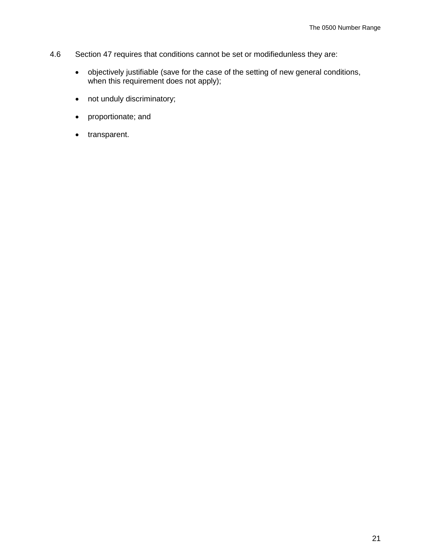- 4.6 Section 47 requires that conditions cannot be set or modifiedunless they are:
	- objectively justifiable (save for the case of the setting of new general conditions, when this requirement does not apply);
	- not unduly discriminatory;
	- proportionate; and
	- transparent.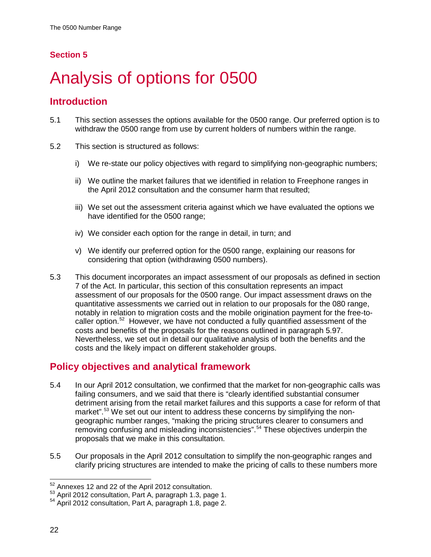# **Section 5**

# <span id="page-21-0"></span>5 Analysis of options for 0500

# **Introduction**

- 5.1 This section assesses the options available for the 0500 range. Our preferred option is to withdraw the 0500 range from use by current holders of numbers within the range.
- 5.2 This section is structured as follows:
	- i) We re-state our policy objectives with regard to simplifying non-geographic numbers;
	- ii) We outline the market failures that we identified in relation to Freephone ranges in the April 2012 consultation and the consumer harm that resulted;
	- iii) We set out the assessment criteria against which we have evaluated the options we have identified for the 0500 range;
	- iv) We consider each option for the range in detail, in turn; and
	- v) We identify our preferred option for the 0500 range, explaining our reasons for considering that option (withdrawing 0500 numbers).
- 5.3 This document incorporates an impact assessment of our proposals as defined in section 7 of the Act. In particular, this section of this consultation represents an impact assessment of our proposals for the 0500 range. Our impact assessment draws on the quantitative assessments we carried out in relation to our proposals for the 080 range, notably in relation to migration costs and the mobile origination payment for the free-tocaller option.[52](#page-21-1) However, we have not conducted a fully quantified assessment of the costs and benefits of the proposals for the reasons outlined in paragraph 5.97. Nevertheless, we set out in detail our qualitative analysis of both the benefits and the costs and the likely impact on different stakeholder groups.

# **Policy objectives and analytical framework**

- 5.4 In our April 2012 consultation, we confirmed that the market for non-geographic calls was failing consumers, and we said that there is "clearly identified substantial consumer detriment arising from the retail market failures and this supports a case for reform of that market".<sup>[53](#page-21-2)</sup> We set out our intent to address these concerns by simplifying the nongeographic number ranges, "making the pricing structures clearer to consumers and removing confusing and misleading inconsistencies".<sup>[54](#page-21-3)</sup> These objectives underpin the proposals that we make in this consultation.
- 5.5 Our proposals in the April 2012 consultation to simplify the non-geographic ranges and clarify pricing structures are intended to make the pricing of calls to these numbers more

<span id="page-21-3"></span><span id="page-21-2"></span>

<span id="page-21-1"></span> $52$  Annexes 12 and 22 of the April 2012 consultation.<br> $53$  April 2012 consultation, Part A, paragraph 1.3, page 1.<br> $54$  April 2012 consultation, Part A, paragraph 1.8, page 2.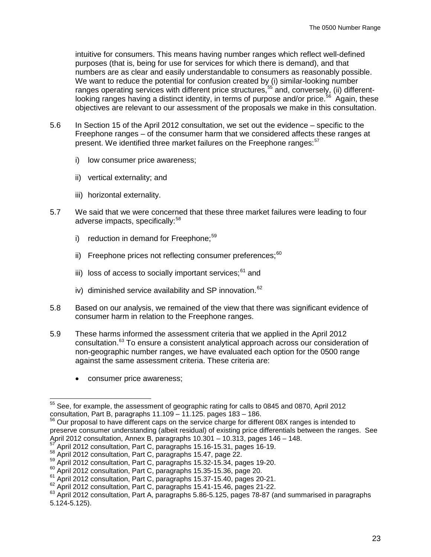intuitive for consumers. This means having number ranges which reflect well-defined purposes (that is, being for use for services for which there is demand), and that numbers are as clear and easily understandable to consumers as reasonably possible. We want to reduce the potential for confusion created by (i) similar-looking number ranges operating services with different price structures,<sup>[55](#page-22-0)</sup> and, conversely, (ii) different-looking ranges having a distinct identity, in terms of purpose and/or price.<sup>[56](#page-22-1)</sup> Again, these objectives are relevant to our assessment of the proposals we make in this consultation.

- 5.6 In Section 15 of the April 2012 consultation, we set out the evidence specific to the Freephone ranges – of the consumer harm that we considered affects these ranges at present. We identified three market failures on the Freephone ranges:<sup>[57](#page-22-2)</sup>
	- i) low consumer price awareness;
	- ii) vertical externality; and
	- iii) horizontal externality.
- 5.7 We said that we were concerned that these three market failures were leading to four adverse impacts, specifically:<sup>[58](#page-22-3)</sup>
	- i) reduction in demand for Freephone; $59$
	- ii) Freephone prices not reflecting consumer preferences; $60$
	- iii) loss of access to socially important services: $61$  and
	- iv) diminished service availability and SP innovation.<sup>[62](#page-22-7)</sup>
- 5.8 Based on our analysis, we remained of the view that there was significant evidence of consumer harm in relation to the Freephone ranges.
- 5.9 These harms informed the assessment criteria that we applied in the April 2012 consultation.[63](#page-22-8) To ensure a consistent analytical approach across our consideration of non-geographic number ranges, we have evaluated each option for the 0500 range against the same assessment criteria. These criteria are:
	- consumer price awareness;

<span id="page-22-0"></span><sup>&</sup>lt;sup>55</sup> See, for example, the assessment of geographic rating for calls to 0845 and 0870, April 2012 consultation, Part B, paragraphs  $11.109 - 11.125$ . pages  $183 - 186$ .

<span id="page-22-1"></span><sup>56</sup> Our proposal to have different caps on the service charge for different 08X ranges is intended to preserve consumer understanding (albeit residual) of existing price differentials between the ranges. See April 2012 consultation, Annex B, paragraphs 10.301 – 10.313, pages 146 – 148.

<span id="page-22-2"></span> $57$  April 2012 consultation, Part C, paragraphs 15.16-15.31, pages 16-19.<br> $58$  April 2012 consultation, Part C, paragraphs 15.47, page 22.

<span id="page-22-4"></span><span id="page-22-3"></span> $^{59}$  April 2012 consultation, Part C, paragraphs 15.32-15.34, pages 19-20.<br> $^{60}$  April 2012 consultation, Part C, paragraphs 15.35-15.36, page 20.

<span id="page-22-6"></span><span id="page-22-5"></span> $61$  April 2012 consultation, Part C, paragraphs 15.37-15.40, pages 20-21.

<span id="page-22-7"></span><sup>&</sup>lt;sup>62</sup> April 2012 consultation, Part C, paragraphs 15.41-15.46, pages 21-22.

<span id="page-22-8"></span><sup>&</sup>lt;sup>63</sup> April 2012 consultation, Part A, paragraphs 5.86-5.125, pages 78-87 (and summarised in paragraphs 5.124-5.125).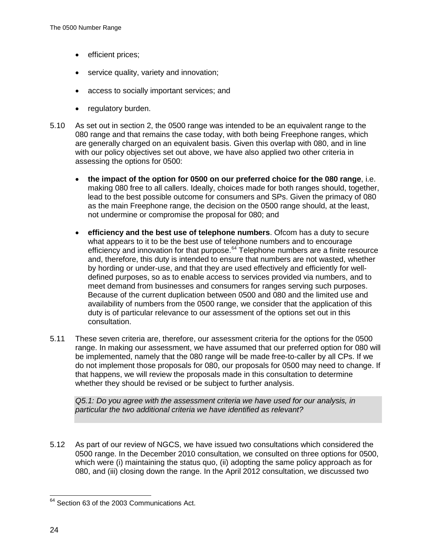- efficient prices;
- service quality, variety and innovation;
- access to socially important services; and
- regulatory burden.
- 5.10 As set out in section 2, the 0500 range was intended to be an equivalent range to the 080 range and that remains the case today, with both being Freephone ranges, which are generally charged on an equivalent basis. Given this overlap with 080, and in line with our policy objectives set out above, we have also applied two other criteria in assessing the options for 0500:
	- **the impact of the option for 0500 on our preferred choice for the 080 range**, i.e. making 080 free to all callers. Ideally, choices made for both ranges should, together, lead to the best possible outcome for consumers and SPs. Given the primacy of 080 as the main Freephone range, the decision on the 0500 range should, at the least, not undermine or compromise the proposal for 080; and
	- **efficiency and the best use of telephone numbers**. Ofcom has a duty to secure what appears to it to be the best use of telephone numbers and to encourage efficiency and innovation for that purpose. $64$  Telephone numbers are a finite resource and, therefore, this duty is intended to ensure that numbers are not wasted, whether by hording or under-use, and that they are used effectively and efficiently for welldefined purposes, so as to enable access to services provided via numbers, and to meet demand from businesses and consumers for ranges serving such purposes. Because of the current duplication between 0500 and 080 and the limited use and availability of numbers from the 0500 range, we consider that the application of this duty is of particular relevance to our assessment of the options set out in this consultation.
- 5.11 These seven criteria are, therefore, our assessment criteria for the options for the 0500 range. In making our assessment, we have assumed that our preferred option for 080 will be implemented, namely that the 080 range will be made free-to-caller by all CPs. If we do not implement those proposals for 080, our proposals for 0500 may need to change. If that happens, we will review the proposals made in this consultation to determine whether they should be revised or be subject to further analysis.

*Q5.1: Do you agree with the assessment criteria we have used for our analysis, in particular the two additional criteria we have identified as relevant?* 

5.12 As part of our review of NGCS, we have issued two consultations which considered the 0500 range. In the December 2010 consultation, we consulted on three options for 0500, which were (i) maintaining the status quo, (ii) adopting the same policy approach as for 080, and (iii) closing down the range. In the April 2012 consultation, we discussed two

<span id="page-23-0"></span> $64$  Section 63 of the 2003 Communications Act.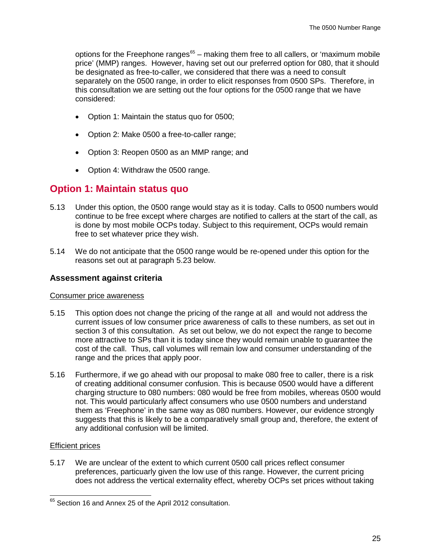options for the Freephone ranges $65 65 -$  making them free to all callers, or 'maximum mobile price' (MMP) ranges. However, having set out our preferred option for 080, that it should be designated as free-to-caller, we considered that there was a need to consult separately on the 0500 range, in order to elicit responses from 0500 SPs. Therefore, in this consultation we are setting out the four options for the 0500 range that we have considered:

- Option 1: Maintain the status quo for 0500;
- Option 2: Make 0500 a free-to-caller range;
- Option 3: Reopen 0500 as an MMP range; and
- Option 4: Withdraw the 0500 range.

# **Option 1: Maintain status quo**

- 5.13 Under this option, the 0500 range would stay as it is today. Calls to 0500 numbers would continue to be free except where charges are notified to callers at the start of the call, as is done by most mobile OCPs today. Subject to this requirement, OCPs would remain free to set whatever price they wish.
- 5.14 We do not anticipate that the 0500 range would be re-opened under this option for the reasons set out at paragraph 5.23 below.

### **Assessment against criteria**

#### Consumer price awareness

- 5.15 This option does not change the pricing of the range at all and would not address the current issues of low consumer price awareness of calls to these numbers, as set out in section 3 of this consultation. As set out below, we do not expect the range to become more attractive to SPs than it is today since they would remain unable to guarantee the cost of the call. Thus, call volumes will remain low and consumer understanding of the range and the prices that apply poor.
- 5.16 Furthermore, if we go ahead with our proposal to make 080 free to caller, there is a risk of creating additional consumer confusion. This is because 0500 would have a different charging structure to 080 numbers: 080 would be free from mobiles, whereas 0500 would not. This would particularly affect consumers who use 0500 numbers and understand them as 'Freephone' in the same way as 080 numbers. However, our evidence strongly suggests that this is likely to be a comparatively small group and, therefore, the extent of any additional confusion will be limited.

#### Efficient prices

5.17 We are unclear of the extent to which current 0500 call prices reflect consumer preferences, particuarly given the low use of this range. However, the current pricing does not address the vertical externality effect, whereby OCPs set prices without taking

<span id="page-24-0"></span><sup>&</sup>lt;sup>65</sup> Section 16 and Annex 25 of the April 2012 consultation.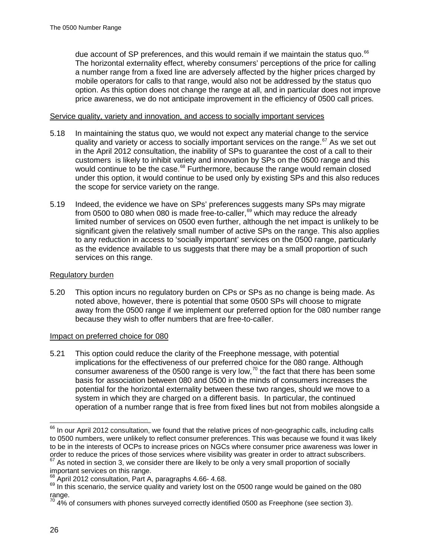due account of SP preferences, and this would remain if we maintain the status quo.<sup>[66](#page-25-0)</sup> The horizontal externality effect, whereby consumers' perceptions of the price for calling a number range from a fixed line are adversely affected by the higher prices charged by mobile operators for calls to that range, would also not be addressed by the status quo option. As this option does not change the range at all, and in particular does not improve price awareness, we do not anticipate improvement in the efficiency of 0500 call prices.

### Service quality, variety and innovation, and access to socially important services

- 5.18 In maintaining the status quo, we would not expect any material change to the service quality and variety or access to socially important services on the range.<sup>[67](#page-25-1)</sup> As we set out in the April 2012 consultation, the inability of SPs to guarantee the cost of a call to their customers is likely to inhibit variety and innovation by SPs on the 0500 range and this would continue to be the case.<sup>[68](#page-25-2)</sup> Furthermore, because the range would remain closed under this option, it would continue to be used only by existing SPs and this also reduces the scope for service variety on the range.
- 5.19 Indeed, the evidence we have on SPs' preferences suggests many SPs may migrate from 0500 to 080 when 080 is made free-to-caller, [69](#page-25-3) which may reduce the already limited number of services on 0500 even further, although the net impact is unlikely to be significant given the relatively small number of active SPs on the range. This also applies to any reduction in access to 'socially important' services on the 0500 range, particularly as the evidence available to us suggests that there may be a small proportion of such services on this range.

### Regulatory burden

5.20 This option incurs no regulatory burden on CPs or SPs as no change is being made. As noted above, however, there is potential that some 0500 SPs will choose to migrate away from the 0500 range if we implement our preferred option for the 080 number range because they wish to offer numbers that are free-to-caller.

## Impact on preferred choice for 080

5.21 This option could reduce the clarity of the Freephone message, with potential implications for the effectiveness of our preferred choice for the 080 range. Although consumer awareness of the 0500 range is very low, $^{70}$  $^{70}$  $^{70}$  the fact that there has been some basis for association between 080 and 0500 in the minds of consumers increases the potential for the horizontal externality between these two ranges, should we move to a system in which they are charged on a different basis. In particular, the continued operation of a number range that is free from fixed lines but not from mobiles alongside a

<span id="page-25-0"></span><sup>&</sup>lt;sup>66</sup> In our April 2012 consultation, we found that the relative prices of non-geographic calls, including calls to 0500 numbers, were unlikely to reflect consumer preferences. This was because we found it was likely to be in the interests of OCPs to increase prices on NGCs where consumer price awareness was lower in order to reduce the prices of those services where visibility was greater in order to attract subscribers.

<span id="page-25-1"></span> $67$  As noted in section 3, we consider there are likely to be only a very small proportion of socially important services on this range.

<span id="page-25-2"></span> $68$  April 2012 consultation, Part A, paragraphs 4.66-4.68.

<span id="page-25-3"></span> $69$  In this scenario, the service quality and variety lost on the 0500 range would be gained on the 080 range.

<span id="page-25-4"></span> $70$  4% of consumers with phones surveyed correctly identified 0500 as Freephone (see section 3).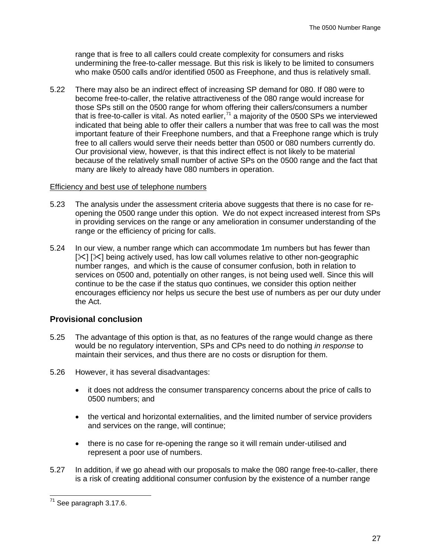range that is free to all callers could create complexity for consumers and risks undermining the free-to-caller message. But this risk is likely to be limited to consumers who make 0500 calls and/or identified 0500 as Freephone, and thus is relatively small.

5.22 There may also be an indirect effect of increasing SP demand for 080. If 080 were to become free-to-caller, the relative attractiveness of the 080 range would increase for those SPs still on the 0500 range for whom offering their callers/consumers a number that is free-to-caller is vital. As noted earlier, $<sup>71</sup>$  $<sup>71</sup>$  $<sup>71</sup>$  a majority of the 0500 SPs we interviewed</sup> indicated that being able to offer their callers a number that was free to call was the most important feature of their Freephone numbers, and that a Freephone range which is truly free to all callers would serve their needs better than 0500 or 080 numbers currently do. Our provisional view, however, is that this indirect effect is not likely to be material because of the relatively small number of active SPs on the 0500 range and the fact that many are likely to already have 080 numbers in operation.

#### Efficiency and best use of telephone numbers

- 5.23 The analysis under the assessment criteria above suggests that there is no case for reopening the 0500 range under this option. We do not expect increased interest from SPs in providing services on the range or any amelioration in consumer understanding of the range or the efficiency of pricing for calls.
- 5.24 In our view, a number range which can accommodate 1m numbers but has fewer than  $[\times]$  [ $\times]$ ] being actively used, has low call volumes relative to other non-geographic number ranges, and which is the cause of consumer confusion, both in relation to services on 0500 and, potentially on other ranges, is not being used well. Since this will continue to be the case if the status quo continues, we consider this option neither encourages efficiency nor helps us secure the best use of numbers as per our duty under the Act.

## **Provisional conclusion**

- 5.25 The advantage of this option is that, as no features of the range would change as there would be no regulatory intervention, SPs and CPs need to do nothing *in response* to maintain their services, and thus there are no costs or disruption for them.
- 5.26 However, it has several disadvantages:
	- it does not address the consumer transparency concerns about the price of calls to 0500 numbers; and
	- the vertical and horizontal externalities, and the limited number of service providers and services on the range, will continue;
	- there is no case for re-opening the range so it will remain under-utilised and represent a poor use of numbers.
- 5.27 In addition, if we go ahead with our proposals to make the 080 range free-to-caller, there is a risk of creating additional consumer confusion by the existence of a number range

<span id="page-26-0"></span> $71$  See paragraph 3.17.6.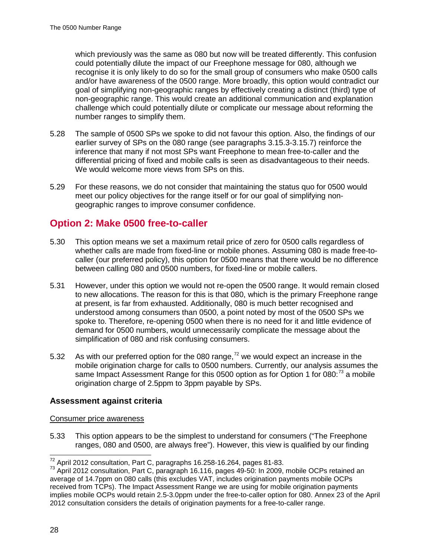which previously was the same as 080 but now will be treated differently. This confusion could potentially dilute the impact of our Freephone message for 080, although we recognise it is only likely to do so for the small group of consumers who make 0500 calls and/or have awareness of the 0500 range. More broadly, this option would contradict our goal of simplifying non-geographic ranges by effectively creating a distinct (third) type of non-geographic range. This would create an additional communication and explanation challenge which could potentially dilute or complicate our message about reforming the number ranges to simplify them.

- 5.28 The sample of 0500 SPs we spoke to did not favour this option. Also, the findings of our earlier survey of SPs on the 080 range (see paragraphs 3.15.3-3.15.7) reinforce the inference that many if not most SPs want Freephone to mean free-to-caller and the differential pricing of fixed and mobile calls is seen as disadvantageous to their needs. We would welcome more views from SPs on this.
- 5.29 For these reasons, we do not consider that maintaining the status quo for 0500 would meet our policy objectives for the range itself or for our goal of simplifying nongeographic ranges to improve consumer confidence.

# **Option 2: Make 0500 free-to-caller**

- 5.30 This option means we set a maximum retail price of zero for 0500 calls regardless of whether calls are made from fixed-line or mobile phones. Assuming 080 is made free-tocaller (our preferred policy), this option for 0500 means that there would be no difference between calling 080 and 0500 numbers, for fixed-line or mobile callers.
- 5.31 However, under this option we would not re-open the 0500 range. It would remain closed to new allocations. The reason for this is that 080, which is the primary Freephone range at present, is far from exhausted. Additionally, 080 is much better recognised and understood among consumers than 0500, a point noted by most of the 0500 SPs we spoke to. Therefore, re-opening 0500 when there is no need for it and little evidence of demand for 0500 numbers, would unnecessarily complicate the message about the simplification of 080 and risk confusing consumers.
- 5.32 As with our preferred option for the 080 range,<sup>[72](#page-27-0)</sup> we would expect an increase in the mobile origination charge for calls to 0500 numbers. Currently, our analysis assumes the same Impact Assessment Range for this 0500 option as for Option 1 for 080: $^{73}$  $^{73}$  $^{73}$  a mobile origination charge of 2.5ppm to 3ppm payable by SPs.

## **Assessment against criteria**

## Consumer price awareness

5.33 This option appears to be the simplest to understand for consumers ("The Freephone ranges, 080 and 0500, are always free"). However, this view is qualified by our finding

<span id="page-27-0"></span> $72$  April 2012 consultation, Part C, paragraphs 16.258-16.264, pages 81-83.

<span id="page-27-1"></span><sup>73</sup> April 2012 consultation, Part C, paragraph 16.116, pages 49-50: In 2009, mobile OCPs retained an average of 14.7ppm on 080 calls (this excludes VAT, includes origination payments mobile OCPs received from TCPs). The Impact Assessment Range we are using for mobile origination payments implies mobile OCPs would retain 2.5-3.0ppm under the free-to-caller option for 080. Annex 23 of the April 2012 consultation considers the details of origination payments for a free-to-caller range.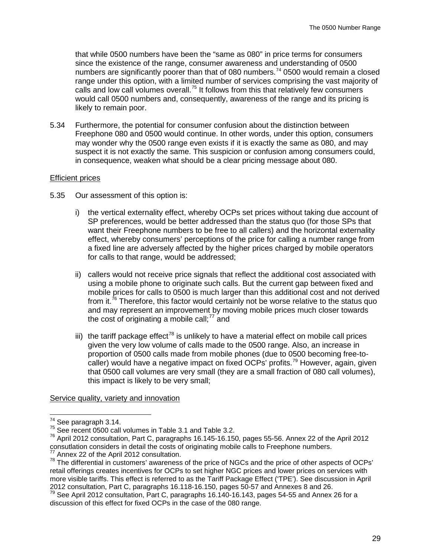that while 0500 numbers have been the "same as 080" in price terms for consumers since the existence of the range, consumer awareness and understanding of 0500 numbers are significantly poorer than that of 080 numbers.<sup>[74](#page-28-0)</sup> 0500 would remain a closed range under this option, with a limited number of services comprising the vast majority of calls and low call volumes overall.<sup>[75](#page-28-1)</sup> It follows from this that relatively few consumers would call 0500 numbers and, consequently, awareness of the range and its pricing is likely to remain poor.

5.34 Furthermore, the potential for consumer confusion about the distinction between Freephone 080 and 0500 would continue. In other words, under this option, consumers may wonder why the 0500 range even exists if it is exactly the same as 080, and may suspect it is not exactly the same. This suspicion or confusion among consumers could, in consequence, weaken what should be a clear pricing message about 080.

#### Efficient prices

- 5.35 Our assessment of this option is:
	- i) the vertical externality effect, whereby OCPs set prices without taking due account of SP preferences, would be better addressed than the status quo (for those SPs that want their Freephone numbers to be free to all callers) and the horizontal externality effect, whereby consumers' perceptions of the price for calling a number range from a fixed line are adversely affected by the higher prices charged by mobile operators for calls to that range, would be addressed;
	- ii) callers would not receive price signals that reflect the additional cost associated with using a mobile phone to originate such calls. But the current gap between fixed and mobile prices for calls to 0500 is much larger than this additional cost and not derived from it.<sup>[76](#page-28-2)</sup> Therefore, this factor would certainly not be worse relative to the status quo and may represent an improvement by moving mobile prices much closer towards the cost of originating a mobile call;<sup>[77](#page-28-3)</sup> and
	- iii) the tariff package effect<sup>[78](#page-28-4)</sup> is unlikely to have a material effect on mobile call prices given the very low volume of calls made to the 0500 range. Also, an increase in proportion of 0500 calls made from mobile phones (due to 0500 becoming free-to-caller) would have a negative impact on fixed OCPs' profits.<sup>[79](#page-28-5)</sup> However, again, given that 0500 call volumes are very small (they are a small fraction of 080 call volumes), this impact is likely to be very small;

#### Service quality, variety and innovation

<span id="page-28-0"></span> $74$  See paragraph 3.14.<br> $75$  See recent 0500 call volumes in Table 3.1 and Table 3.2.

<span id="page-28-2"></span><span id="page-28-1"></span> $76$  April 2012 consultation, Part C, paragraphs 16.145-16.150, pages 55-56. Annex 22 of the April 2012 consutlation considers in detail the costs of originating mobile calls to Freephone numbers.<br> $^{77}$  Annex 22 of the April 2012 consultation.

<span id="page-28-4"></span><span id="page-28-3"></span> $78$  The differential in customers' awareness of the price of NGCs and the price of other aspects of OCPs' retail offerings creates incentives for OCPs to set higher NGC prices and lower prices on services with more visible tariffs. This effect is referred to as the Tariff Package Effect ('TPE'). See discussion in April 2012 consultation, Part C, paragraphs 16.118-16.150, pages 50-57 and Annexes 8 and 26.

<span id="page-28-5"></span> $^{79}$  See April 2012 consultation, Part C, paragraphs 16.140-16.143, pages 54-55 and Annex 26 for a discussion of this effect for fixed OCPs in the case of the 080 range.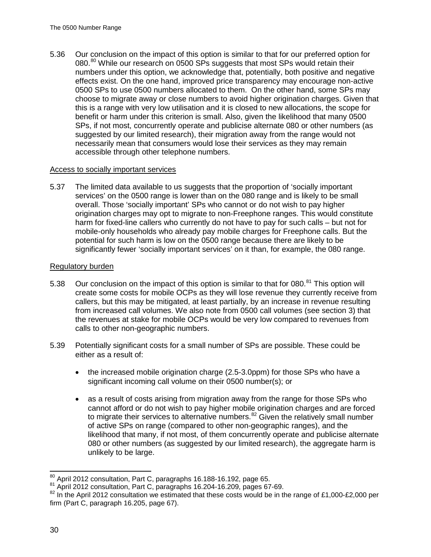5.36 Our conclusion on the impact of this option is similar to that for our preferred option for 0[80](#page-29-0).<sup>80</sup> While our research on 0500 SPs suggests that most SPs would retain their numbers under this option, we acknowledge that, potentially, both positive and negative effects exist. On the one hand, improved price transparency may encourage non-active 0500 SPs to use 0500 numbers allocated to them. On the other hand, some SPs may choose to migrate away or close numbers to avoid higher origination charges. Given that this is a range with very low utilisation and it is closed to new allocations, the scope for benefit or harm under this criterion is small. Also, given the likelihood that many 0500 SPs, if not most, concurrently operate and publicise alternate 080 or other numbers (as suggested by our limited research), their migration away from the range would not necessarily mean that consumers would lose their services as they may remain accessible through other telephone numbers.

### Access to socially important services

5.37 The limited data available to us suggests that the proportion of 'socially important services' on the 0500 range is lower than on the 080 range and is likely to be small overall. Those 'socially important' SPs who cannot or do not wish to pay higher origination charges may opt to migrate to non-Freephone ranges. This would constitute harm for fixed-line callers who currently do not have to pay for such calls – but not for mobile-only households who already pay mobile charges for Freephone calls. But the potential for such harm is low on the 0500 range because there are likely to be significantly fewer 'socially important services' on it than, for example, the 080 range.

## Regulatory burden

- 5.38 Our conclusion on the impact of this option is similar to that for 080.<sup>[81](#page-29-1)</sup> This option will create some costs for mobile OCPs as they will lose revenue they currently receive from callers, but this may be mitigated, at least partially, by an increase in revenue resulting from increased call volumes. We also note from 0500 call volumes (see section 3) that the revenues at stake for mobile OCPs would be very low compared to revenues from calls to other non-geographic numbers.
- 5.39 Potentially significant costs for a small number of SPs are possible. These could be either as a result of:
	- the increased mobile origination charge (2.5-3.0ppm) for those SPs who have a significant incoming call volume on their 0500 number(s); or
	- as a result of costs arising from migration away from the range for those SPs who cannot afford or do not wish to pay higher mobile origination charges and are forced to migrate their services to alternative numbers.<sup>[82](#page-29-2)</sup> Given the relatively small number of active SPs on range (compared to other non-geographic ranges), and the likelihood that many, if not most, of them concurrently operate and publicise alternate 080 or other numbers (as suggested by our limited research), the aggregate harm is unlikely to be large.

<span id="page-29-0"></span> $^{80}$  April 2012 consultation, Part C, paragraphs 16.188-16.192, page 65.<br> $^{81}$  April 2012 consultation, Part C, paragraphs 16.204-16.209, pages 67-69.

<span id="page-29-1"></span>

<span id="page-29-2"></span><sup>82</sup> In the April 2012 consultation we estimated that these costs would be in the range of £1,000-£2,000 per firm (Part C, paragraph 16.205, page 67).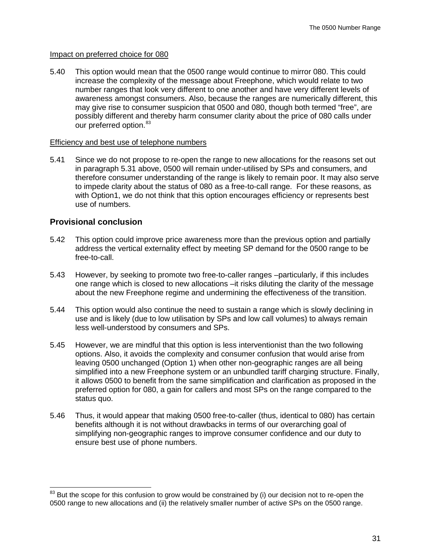#### Impact on preferred choice for 080

5.40 This option would mean that the 0500 range would continue to mirror 080. This could increase the complexity of the message about Freephone, which would relate to two number ranges that look very different to one another and have very different levels of awareness amongst consumers. Also, because the ranges are numerically different, this may give rise to consumer suspicion that 0500 and 080, though both termed "free", are possibly different and thereby harm consumer clarity about the price of 080 calls under our preferred option.<sup>[83](#page-30-0)</sup>

#### Efficiency and best use of telephone numbers

5.41 Since we do not propose to re-open the range to new allocations for the reasons set out in paragraph 5.31 above, 0500 will remain under-utilised by SPs and consumers, and therefore consumer understanding of the range is likely to remain poor. It may also serve to impede clarity about the status of 080 as a free-to-call range. For these reasons, as with Option1, we do not think that this option encourages efficiency or represents best use of numbers.

### **Provisional conclusion**

- 5.42 This option could improve price awareness more than the previous option and partially address the vertical externality effect by meeting SP demand for the 0500 range to be free-to-call.
- 5.43 However, by seeking to promote two free-to-caller ranges –particularly, if this includes one range which is closed to new allocations –it risks diluting the clarity of the message about the new Freephone regime and undermining the effectiveness of the transition.
- 5.44 This option would also continue the need to sustain a range which is slowly declining in use and is likely (due to low utilisation by SPs and low call volumes) to always remain less well-understood by consumers and SPs.
- 5.45 However, we are mindful that this option is less interventionist than the two following options. Also, it avoids the complexity and consumer confusion that would arise from leaving 0500 unchanged (Option 1) when other non-geographic ranges are all being simplified into a new Freephone system or an unbundled tariff charging structure. Finally, it allows 0500 to benefit from the same simplification and clarification as proposed in the preferred option for 080, a gain for callers and most SPs on the range compared to the status quo.
- 5.46 Thus, it would appear that making 0500 free-to-caller (thus, identical to 080) has certain benefits although it is not without drawbacks in terms of our overarching goal of simplifying non-geographic ranges to improve consumer confidence and our duty to ensure best use of phone numbers.

<span id="page-30-0"></span><sup>&</sup>lt;sup>83</sup> But the scope for this confusion to grow would be constrained by (i) our decision not to re-open the 0500 range to new allocations and (ii) the relatively smaller number of active SPs on the 0500 range.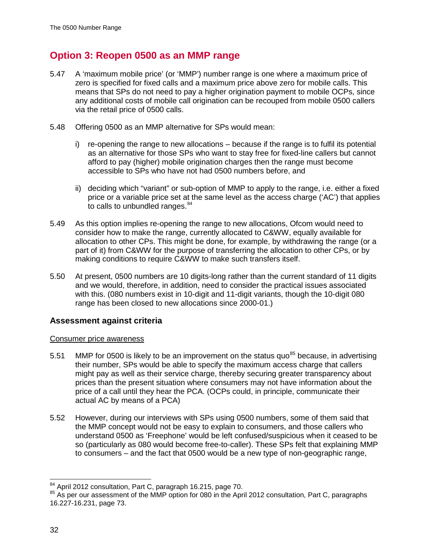# **Option 3: Reopen 0500 as an MMP range**

- 5.47 A 'maximum mobile price' (or 'MMP') number range is one where a maximum price of zero is specified for fixed calls and a maximum price above zero for mobile calls. This means that SPs do not need to pay a higher origination payment to mobile OCPs, since any additional costs of mobile call origination can be recouped from mobile 0500 callers via the retail price of 0500 calls.
- 5.48 Offering 0500 as an MMP alternative for SPs would mean:
	- i) re-opening the range to new allocations because if the range is to fulfil its potential as an alternative for those SPs who want to stay free for fixed-line callers but cannot afford to pay (higher) mobile origination charges then the range must become accessible to SPs who have not had 0500 numbers before, and
	- ii) deciding which "variant" or sub-option of MMP to apply to the range, i.e. either a fixed price or a variable price set at the same level as the access charge ('AC') that applies to calls to unbundled ranges.<sup>[84](#page-31-0)</sup>
- 5.49 As this option implies re-opening the range to new allocations, Ofcom would need to consider how to make the range, currently allocated to C&WW, equally available for allocation to other CPs. This might be done, for example, by withdrawing the range (or a part of it) from C&WW for the purpose of transferring the allocation to other CPs, or by making conditions to require C&WW to make such transfers itself.
- 5.50 At present, 0500 numbers are 10 digits-long rather than the current standard of 11 digits and we would, therefore, in addition, need to consider the practical issues associated with this. (080 numbers exist in 10-digit and 11-digit variants, though the 10-digit 080 range has been closed to new allocations since 2000-01.)

## **Assessment against criteria**

## Consumer price awareness

- 5.51 MMP for 0500 is likely to be an improvement on the status quo $^{85}$  $^{85}$  $^{85}$  because, in advertising their number, SPs would be able to specify the maximum access charge that callers might pay as well as their service charge, thereby securing greater transparency about prices than the present situation where consumers may not have information about the price of a call until they hear the PCA. (OCPs could, in principle, communicate their actual AC by means of a PCA)
- 5.52 However, during our interviews with SPs using 0500 numbers, some of them said that the MMP concept would not be easy to explain to consumers, and those callers who understand 0500 as 'Freephone' would be left confused/suspicious when it ceased to be so (particularly as 080 would become free-to-caller). These SPs felt that explaining MMP to consumers – and the fact that 0500 would be a new type of non-geographic range,

<span id="page-31-1"></span><span id="page-31-0"></span> $^{84}$  April 2012 consultation, Part C, paragraph 16.215, page 70.<br> $^{85}$  As per our assessment of the MMP option for 080 in the April 2012 consultation, Part C, paragraphs 16.227-16.231, page 73.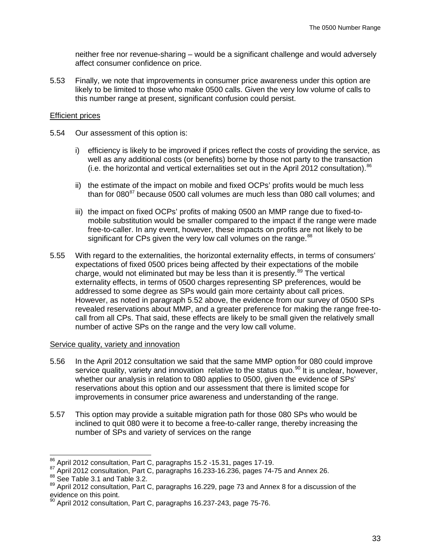neither free nor revenue-sharing – would be a significant challenge and would adversely affect consumer confidence on price.

5.53 Finally, we note that improvements in consumer price awareness under this option are likely to be limited to those who make 0500 calls. Given the very low volume of calls to this number range at present, significant confusion could persist.

#### Efficient prices

- 5.54 Our assessment of this option is:
	- i) efficiency is likely to be improved if prices reflect the costs of providing the service, as well as any additional costs (or benefits) borne by those not party to the transaction (i.e. the horizontal and vertical externalities set out in the April 2012 consultation). $86$
	- ii) the estimate of the impact on mobile and fixed OCPs' profits would be much less than for  $080^{87}$  $080^{87}$  $080^{87}$  because 0500 call volumes are much less than 080 call volumes; and
	- iii) the impact on fixed OCPs' profits of making 0500 an MMP range due to fixed-tomobile substitution would be smaller compared to the impact if the range were made free-to-caller. In any event, however, these impacts on profits are not likely to be significant for CPs given the very low call volumes on the range.<sup>[88](#page-32-2)</sup>
- 5.55 With regard to the externalities, the horizontal externality effects, in terms of consumers' expectations of fixed 0500 prices being affected by their expectations of the mobile charge, would not eliminated but may be less than it is presently.<sup>[89](#page-32-3)</sup> The vertical externality effects, in terms of 0500 charges representing SP preferences, would be addressed to some degree as SPs would gain more certainty about call prices. However, as noted in paragraph 5.52 above, the evidence from our survey of 0500 SPs revealed reservations about MMP, and a greater preference for making the range free-tocall from all CPs. That said, these effects are likely to be small given the relatively small number of active SPs on the range and the very low call volume.

#### Service quality, variety and innovation

- 5.56 In the April 2012 consultation we said that the same MMP option for 080 could improve service quality, variety and innovation relative to the status quo.<sup>[90](#page-32-4)</sup> It is unclear, however, whether our analysis in relation to 080 applies to 0500, given the evidence of SPs' reservations about this option and our assessment that there is limited scope for improvements in consumer price awareness and understanding of the range.
- 5.57 This option may provide a suitable migration path for those 080 SPs who would be inclined to quit 080 were it to become a free-to-caller range, thereby increasing the number of SPs and variety of services on the range

<span id="page-32-0"></span> <sup>86</sup> April 2012 consultation, Part C, paragraphs 15.2 -15.31, pages 17-19.

<span id="page-32-1"></span><sup>87</sup> April 2012 consultation, Part C, paragraphs 16.233-16.236, pages 74-75 and Annex 26.

<span id="page-32-2"></span><sup>88</sup> See Table 3.1 and Table 3.2.

<span id="page-32-3"></span><sup>89</sup> April 2012 consultation, Part C, paragraphs 16.229, page 73 and Annex 8 for a discussion of the evidence on this point.

<span id="page-32-4"></span> $90$  April 2012 consultation, Part C, paragraphs 16.237-243, page 75-76.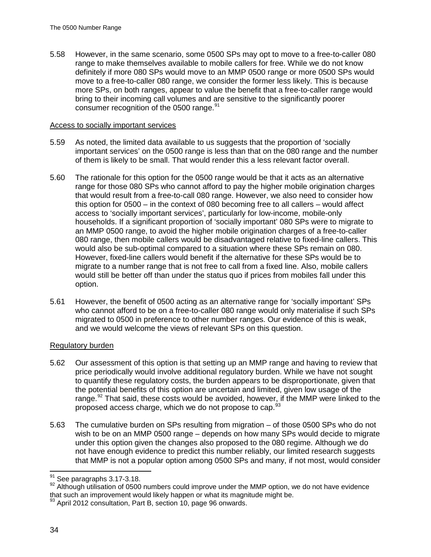5.58 However, in the same scenario, some 0500 SPs may opt to move to a free-to-caller 080 range to make themselves available to mobile callers for free. While we do not know definitely if more 080 SPs would move to an MMP 0500 range or more 0500 SPs would move to a free-to-caller 080 range, we consider the former less likely. This is because more SPs, on both ranges, appear to value the benefit that a free-to-caller range would bring to their incoming call volumes and are sensitive to the significantly poorer consumer recognition of the 0500 range. $91$ 

### Access to socially important services

- 5.59 As noted, the limited data available to us suggests that the proportion of 'socially important services' on the 0500 range is less than that on the 080 range and the number of them is likely to be small. That would render this a less relevant factor overall.
- 5.60 The rationale for this option for the 0500 range would be that it acts as an alternative range for those 080 SPs who cannot afford to pay the higher mobile origination charges that would result from a free-to-call 080 range. However, we also need to consider how this option for 0500 – in the context of 080 becoming free to all callers – would affect access to 'socially important services', particularly for low-income, mobile-only households. If a significant proportion of 'socially important' 080 SPs were to migrate to an MMP 0500 range, to avoid the higher mobile origination charges of a free-to-caller 080 range, then mobile callers would be disadvantaged relative to fixed-line callers. This would also be sub-optimal compared to a situation where these SPs remain on 080. However, fixed-line callers would benefit if the alternative for these SPs would be to migrate to a number range that is not free to call from a fixed line. Also, mobile callers would still be better off than under the status quo if prices from mobiles fall under this option.
- 5.61 However, the benefit of 0500 acting as an alternative range for 'socially important' SPs who cannot afford to be on a free-to-caller 080 range would only materialise if such SPs migrated to 0500 in preference to other number ranges. Our evidence of this is weak, and we would welcome the views of relevant SPs on this question.

## Regulatory burden

- 5.62 Our assessment of this option is that setting up an MMP range and having to review that price periodically would involve additional regulatory burden. While we have not sought to quantify these regulatory costs, the burden appears to be disproportionate, given that the potential benefits of this option are uncertain and limited, given low usage of the range.<sup>[92](#page-33-1)</sup> That said, these costs would be avoided, however, if the MMP were linked to the proposed access charge, which we do not propose to cap.<sup>[93](#page-33-2)</sup>
- 5.63 The cumulative burden on SPs resulting from migration of those 0500 SPs who do not wish to be on an MMP 0500 range – depends on how many SPs would decide to migrate under this option given the changes also proposed to the 080 regime. Although we do not have enough evidence to predict this number reliably, our limited research suggests that MMP is not a popular option among 0500 SPs and many, if not most, would consider

<span id="page-33-0"></span> $91$  See paragraphs 3.17-3.18.

<span id="page-33-1"></span><sup>92</sup> Although utilisation of 0500 numbers could improve under the MMP option, we do not have evidence<br>that such an improvement would likely happen or what its magnitude might be.

<span id="page-33-2"></span> $33$  April 2012 consultation, Part B, section 10, page 96 onwards.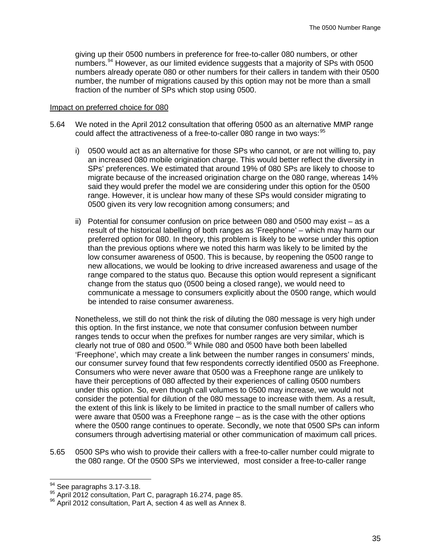giving up their 0500 numbers in preference for free-to-caller 080 numbers, or other numbers.<sup>[94](#page-34-0)</sup> However, as our limited evidence suggests that a majority of SPs with 0500 numbers already operate 080 or other numbers for their callers in tandem with their 0500 number, the number of migrations caused by this option may not be more than a small fraction of the number of SPs which stop using 0500.

#### Impact on preferred choice for 080

- 5.64 We noted in the April 2012 consultation that offering 0500 as an alternative MMP range could affect the attractiveness of a free-to-caller 080 range in two ways:<sup>[95](#page-34-1)</sup>
	- i) 0500 would act as an alternative for those SPs who cannot, or are not willing to, pay an increased 080 mobile origination charge. This would better reflect the diversity in SPs' preferences. We estimated that around 19% of 080 SPs are likely to choose to migrate because of the increased origination charge on the 080 range, whereas 14% said they would prefer the model we are considering under this option for the 0500 range. However, it is unclear how many of these SPs would consider migrating to 0500 given its very low recognition among consumers; and
	- ii) Potential for consumer confusion on price between 080 and 0500 may exist as a result of the historical labelling of both ranges as 'Freephone' – which may harm our preferred option for 080. In theory, this problem is likely to be worse under this option than the previous options where we noted this harm was likely to be limited by the low consumer awareness of 0500. This is because, by reopening the 0500 range to new allocations, we would be looking to drive increased awareness and usage of the range compared to the status quo. Because this option would represent a significant change from the status quo (0500 being a closed range), we would need to communicate a message to consumers explicitly about the 0500 range, which would be intended to raise consumer awareness.

Nonetheless, we still do not think the risk of diluting the 080 message is very high under this option. In the first instance, we note that consumer confusion between number ranges tends to occur when the prefixes for number ranges are very similar, which is clearly not true of 080 and 0500.<sup>[96](#page-34-2)</sup> While 080 and 0500 have both been labelled 'Freephone', which may create a link between the number ranges in consumers' minds, our consumer survey found that few respondents correctly identified 0500 as Freephone. Consumers who were never aware that 0500 was a Freephone range are unlikely to have their perceptions of 080 affected by their experiences of calling 0500 numbers under this option. So, even though call volumes to 0500 may increase, we would not consider the potential for dilution of the 080 message to increase with them. As a result, the extent of this link is likely to be limited in practice to the small number of callers who were aware that 0500 was a Freephone range – as is the case with the other options where the 0500 range continues to operate. Secondly, we note that 0500 SPs can inform consumers through advertising material or other communication of maximum call prices.

5.65 0500 SPs who wish to provide their callers with a free-to-caller number could migrate to the 080 range. Of the 0500 SPs we interviewed, most consider a free-to-caller range

<span id="page-34-0"></span><sup>&</sup>lt;sup>94</sup> See paragraphs 3.17-3.18.<br><sup>95</sup> April 2012 consultation, Part C, paragraph 16.274, page 85.<br><sup>96</sup> April 2012 consultation, Part A, section 4 as well as Annex 8.

<span id="page-34-2"></span><span id="page-34-1"></span>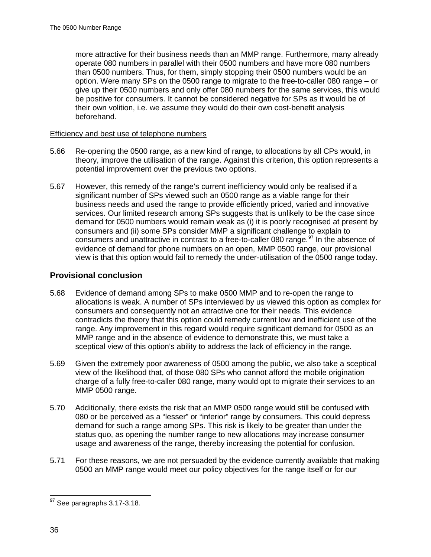more attractive for their business needs than an MMP range. Furthermore, many already operate 080 numbers in parallel with their 0500 numbers and have more 080 numbers than 0500 numbers. Thus, for them, simply stopping their 0500 numbers would be an option. Were many SPs on the 0500 range to migrate to the free-to-caller 080 range – or give up their 0500 numbers and only offer 080 numbers for the same services, this would be positive for consumers. It cannot be considered negative for SPs as it would be of their own volition, i.e. we assume they would do their own cost-benefit analysis beforehand.

### Efficiency and best use of telephone numbers

- 5.66 Re-opening the 0500 range, as a new kind of range, to allocations by all CPs would, in theory, improve the utilisation of the range. Against this criterion, this option represents a potential improvement over the previous two options.
- 5.67 However, this remedy of the range's current inefficiency would only be realised if a significant number of SPs viewed such an 0500 range as a viable range for their business needs and used the range to provide efficiently priced, varied and innovative services. Our limited research among SPs suggests that is unlikely to be the case since demand for 0500 numbers would remain weak as (i) it is poorly recognised at present by consumers and (ii) some SPs consider MMP a significant challenge to explain to consumers and unattractive in contrast to a free-to-caller 080 range.<sup>[97](#page-35-0)</sup> In the absence of evidence of demand for phone numbers on an open, MMP 0500 range, our provisional view is that this option would fail to remedy the under-utilisation of the 0500 range today.

## **Provisional conclusion**

- 5.68 Evidence of demand among SPs to make 0500 MMP and to re-open the range to allocations is weak. A number of SPs interviewed by us viewed this option as complex for consumers and consequently not an attractive one for their needs. This evidence contradicts the theory that this option could remedy current low and inefficient use of the range. Any improvement in this regard would require significant demand for 0500 as an MMP range and in the absence of evidence to demonstrate this, we must take a sceptical view of this option's ability to address the lack of efficiency in the range.
- 5.69 Given the extremely poor awareness of 0500 among the public, we also take a sceptical view of the likelihood that, of those 080 SPs who cannot afford the mobile origination charge of a fully free-to-caller 080 range, many would opt to migrate their services to an MMP 0500 range.
- 5.70 Additionally, there exists the risk that an MMP 0500 range would still be confused with 080 or be perceived as a "lesser" or "inferior" range by consumers. This could depress demand for such a range among SPs. This risk is likely to be greater than under the status quo, as opening the number range to new allocations may increase consumer usage and awareness of the range, thereby increasing the potential for confusion.
- 5.71 For these reasons, we are not persuaded by the evidence currently available that making 0500 an MMP range would meet our policy objectives for the range itself or for our

<span id="page-35-0"></span> $97$  See paragraphs 3.17-3.18.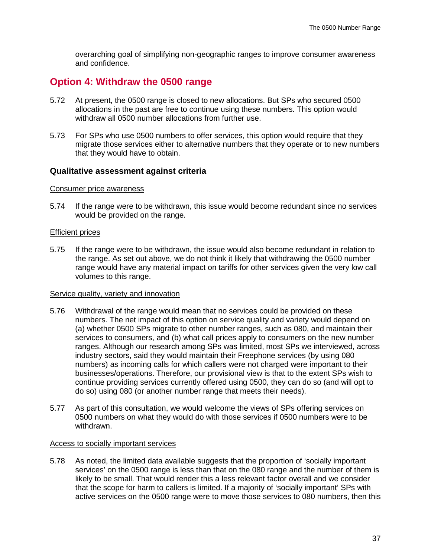overarching goal of simplifying non-geographic ranges to improve consumer awareness and confidence.

# **Option 4: Withdraw the 0500 range**

- 5.72 At present, the 0500 range is closed to new allocations. But SPs who secured 0500 allocations in the past are free to continue using these numbers. This option would withdraw all 0500 number allocations from further use.
- 5.73 For SPs who use 0500 numbers to offer services, this option would require that they migrate those services either to alternative numbers that they operate or to new numbers that they would have to obtain.

## **Qualitative assessment against criteria**

#### Consumer price awareness

5.74 If the range were to be withdrawn, this issue would become redundant since no services would be provided on the range.

#### Efficient prices

5.75 If the range were to be withdrawn, the issue would also become redundant in relation to the range. As set out above, we do not think it likely that withdrawing the 0500 number range would have any material impact on tariffs for other services given the very low call volumes to this range.

#### Service quality, variety and innovation

- 5.76 Withdrawal of the range would mean that no services could be provided on these numbers. The net impact of this option on service quality and variety would depend on (a) whether 0500 SPs migrate to other number ranges, such as 080, and maintain their services to consumers, and (b) what call prices apply to consumers on the new number ranges. Although our research among SPs was limited, most SPs we interviewed, across industry sectors, said they would maintain their Freephone services (by using 080 numbers) as incoming calls for which callers were not charged were important to their businesses/operations. Therefore, our provisional view is that to the extent SPs wish to continue providing services currently offered using 0500, they can do so (and will opt to do so) using 080 (or another number range that meets their needs).
- 5.77 As part of this consultation, we would welcome the views of SPs offering services on 0500 numbers on what they would do with those services if 0500 numbers were to be withdrawn.

#### Access to socially important services

5.78 As noted, the limited data available suggests that the proportion of 'socially important services' on the 0500 range is less than that on the 080 range and the number of them is likely to be small. That would render this a less relevant factor overall and we consider that the scope for harm to callers is limited. If a majority of 'socially important' SPs with active services on the 0500 range were to move those services to 080 numbers, then this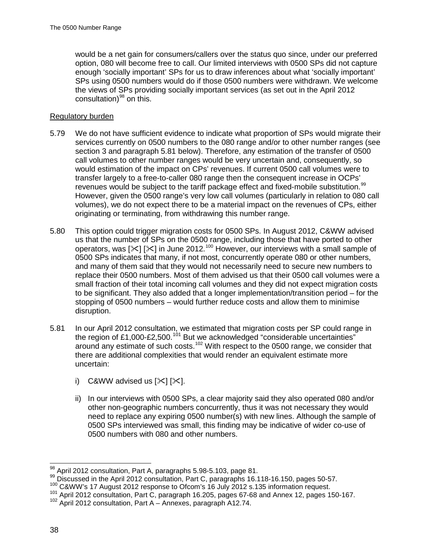would be a net gain for consumers/callers over the status quo since, under our preferred option, 080 will become free to call. Our limited interviews with 0500 SPs did not capture enough 'socially important' SPs for us to draw inferences about what 'socially important' SPs using 0500 numbers would do if those 0500 numbers were withdrawn. We welcome the views of SPs providing socially important services (as set out in the April 2012 consultation) $98$  on this.

## Regulatory burden

- 5.79 We do not have sufficient evidence to indicate what proportion of SPs would migrate their services currently on 0500 numbers to the 080 range and/or to other number ranges (see section 3 and paragraph 5.81 below). Therefore, any estimation of the transfer of 0500 call volumes to other number ranges would be very uncertain and, consequently, so would estimation of the impact on CPs' revenues. If current 0500 call volumes were to transfer largely to a free-to-caller 080 range then the consequent increase in OCPs' revenues would be subject to the tariff package effect and fixed-mobile substitution.<sup>[99](#page-37-1)</sup> However, given the 0500 range's very low call volumes (particularly in relation to 080 call volumes), we do not expect there to be a material impact on the revenues of CPs, either originating or terminating, from withdrawing this number range.
- 5.80 This option could trigger migration costs for 0500 SPs. In August 2012, C&WW advised us that the number of SPs on the 0500 range, including those that have ported to other operators, was  $[\times]$   $[\times]$  in June 2012.<sup>[100](#page-37-2)</sup> However, our interviews with a small sample of 0500 SPs indicates that many, if not most, concurrently operate 080 or other numbers, and many of them said that they would not necessarily need to secure new numbers to replace their 0500 numbers. Most of them advised us that their 0500 call volumes were a small fraction of their total incoming call volumes and they did not expect migration costs to be significant. They also added that a longer implementation/transition period – for the stopping of 0500 numbers – would further reduce costs and allow them to minimise disruption.
- 5.81 In our April 2012 consultation, we estimated that migration costs per SP could range in the region of £1,000-£2,500.<sup>[101](#page-37-3)</sup> But we acknowledged "considerable uncertainties" around any estimate of such costs.<sup>[102](#page-37-4)</sup> With respect to the 0500 range, we consider that there are additional complexities that would render an equivalent estimate more uncertain:
	- i) C&WW advised us  $[\times] [\times]$ .
	- ii) In our interviews with 0500 SPs, a clear majority said they also operated 080 and/or other non-geographic numbers concurrently, thus it was not necessary they would need to replace any expiring 0500 number(s) with new lines. Although the sample of 0500 SPs interviewed was small, this finding may be indicative of wider co-use of 0500 numbers with 080 and other numbers.

<span id="page-37-1"></span><span id="page-37-0"></span><sup>&</sup>lt;sup>98</sup> April 2012 consultation, Part A, paragraphs 5.98-5.103, page 81.<br><sup>99</sup> Discussed in the April 2012 consultation, Part C, paragraphs 16.118-16.150, pages 50-57.<br><sup>100</sup> C&WW's 17 August 2012 response to Ofcom's 16 July 2

<span id="page-37-3"></span><span id="page-37-2"></span> $101$  Cave to  $17$  August 2012 response to Ofcome 16 July 2012 requested. 101 April 2012 consultation, Part C, paragraph 16.205, pages 67-68 and Annex 12, pages 150-167.

<span id="page-37-4"></span><sup>&</sup>lt;sup>102</sup> April 2012 consultation, Part A – Annexes, paragraph A12.74.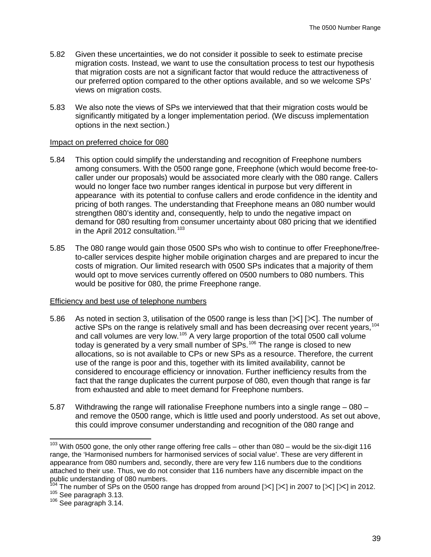- 5.82 Given these uncertainties, we do not consider it possible to seek to estimate precise migration costs. Instead, we want to use the consultation process to test our hypothesis that migration costs are not a significant factor that would reduce the attractiveness of our preferred option compared to the other options available, and so we welcome SPs' views on migration costs.
- 5.83 We also note the views of SPs we interviewed that that their migration costs would be significantly mitigated by a longer implementation period. (We discuss implementation options in the next section.)

#### Impact on preferred choice for 080

- 5.84 This option could simplify the understanding and recognition of Freephone numbers among consumers. With the 0500 range gone, Freephone (which would become free-tocaller under our proposals) would be associated more clearly with the 080 range. Callers would no longer face two number ranges identical in purpose but very different in appearance with its potential to confuse callers and erode confidence in the identity and pricing of both ranges. The understanding that Freephone means an 080 number would strengthen 080's identity and, consequently, help to undo the negative impact on demand for 080 resulting from consumer uncertainty about 080 pricing that we identified in the April 2012 consultation.<sup>[103](#page-38-0)</sup>
- 5.85 The 080 range would gain those 0500 SPs who wish to continue to offer Freephone/freeto-caller services despite higher mobile origination charges and are prepared to incur the costs of migration. Our limited research with 0500 SPs indicates that a majority of them would opt to move services currently offered on 0500 numbers to 080 numbers. This would be positive for 080, the prime Freephone range.

#### Efficiency and best use of telephone numbers

- 5.86 As noted in section 3, utilisation of the 0500 range is less than  $[\times]$   $[\times]$ . The number of active SPs on the range is relatively small and has been decreasing over recent years,<sup>[104](#page-38-1)</sup> and call volumes are very low.<sup>[105](#page-38-2)</sup> A very large proportion of the total 0500 call volume today is generated by a very small number of SPs.<sup>[106](#page-38-3)</sup> The range is closed to new allocations, so is not available to CPs or new SPs as a resource. Therefore, the current use of the range is poor and this, together with its limited availability, cannot be considered to encourage efficiency or innovation. Further inefficiency results from the fact that the range duplicates the current purpose of 080, even though that range is far from exhausted and able to meet demand for Freephone numbers.
- 5.87 Withdrawing the range will rationalise Freephone numbers into a single range 080 and remove the 0500 range, which is little used and poorly understood. As set out above, this could improve consumer understanding and recognition of the 080 range and

<span id="page-38-0"></span> $103$  With 0500 gone, the only other range offering free calls – other than 080 – would be the six-digit 116 range, the 'Harmonised numbers for harmonised services of social value'. These are very different in appearance from 080 numbers and, secondly, there are very few 116 numbers due to the conditions attached to their use. Thus, we do not consider that 116 numbers have any discernible impact on the public understanding of 080 numbers.

The number of SPs on the 0500 range has dropped from around  $[\times] [\times]$  in 2007 to  $[\times] [\times]$  in 2012.

<span id="page-38-3"></span><span id="page-38-2"></span><span id="page-38-1"></span> $\frac{105}{106}$  See paragraph 3.13.<br> $\frac{106}{106}$  See paragraph 3.14.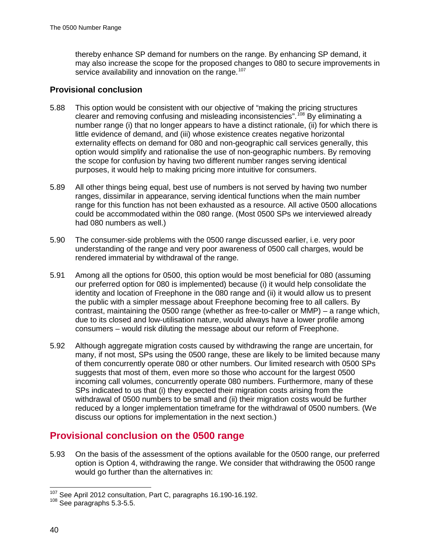thereby enhance SP demand for numbers on the range. By enhancing SP demand, it may also increase the scope for the proposed changes to 080 to secure improvements in service availability and innovation on the range.<sup>[107](#page-39-0)</sup>

## **Provisional conclusion**

- 5.88 This option would be consistent with our objective of "making the pricing structures clearer and removing confusing and misleading inconsistencies".[108](#page-39-1) By eliminating a number range (i) that no longer appears to have a distinct rationale, (ii) for which there is little evidence of demand, and (iii) whose existence creates negative horizontal externality effects on demand for 080 and non-geographic call services generally, this option would simplify and rationalise the use of non-geographic numbers. By removing the scope for confusion by having two different number ranges serving identical purposes, it would help to making pricing more intuitive for consumers.
- 5.89 All other things being equal, best use of numbers is not served by having two number ranges, dissimilar in appearance, serving identical functions when the main number range for this function has not been exhausted as a resource. All active 0500 allocations could be accommodated within the 080 range. (Most 0500 SPs we interviewed already had 080 numbers as well.)
- 5.90 The consumer-side problems with the 0500 range discussed earlier, i.e. very poor understanding of the range and very poor awareness of 0500 call charges, would be rendered immaterial by withdrawal of the range.
- 5.91 Among all the options for 0500, this option would be most beneficial for 080 (assuming our preferred option for 080 is implemented) because (i) it would help consolidate the identity and location of Freephone in the 080 range and (ii) it would allow us to present the public with a simpler message about Freephone becoming free to all callers. By contrast, maintaining the 0500 range (whether as free-to-caller or MMP) – a range which, due to its closed and low-utilisation nature, would always have a lower profile among consumers – would risk diluting the message about our reform of Freephone.
- 5.92 Although aggregate migration costs caused by withdrawing the range are uncertain, for many, if not most, SPs using the 0500 range, these are likely to be limited because many of them concurrently operate 080 or other numbers. Our limited research with 0500 SPs suggests that most of them, even more so those who account for the largest 0500 incoming call volumes, concurrently operate 080 numbers. Furthermore, many of these SPs indicated to us that (i) they expected their migration costs arising from the withdrawal of 0500 numbers to be small and (ii) their migration costs would be further reduced by a longer implementation timeframe for the withdrawal of 0500 numbers. (We discuss our options for implementation in the next section.)

# **Provisional conclusion on the 0500 range**

5.93 On the basis of the assessment of the options available for the 0500 range, our preferred option is Option 4, withdrawing the range. We consider that withdrawing the 0500 range would go further than the alternatives in:

<span id="page-39-0"></span> $107$  See April 2012 consultation, Part C, paragraphs 16.190-16.192.

<span id="page-39-1"></span><sup>&</sup>lt;sup>108</sup> See paragraphs 5.3-5.5.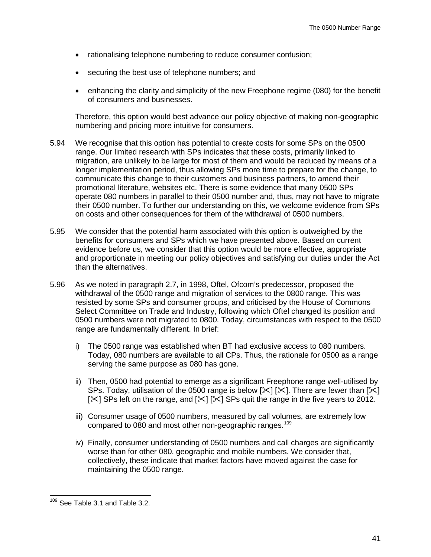- rationalising telephone numbering to reduce consumer confusion;
- securing the best use of telephone numbers; and
- enhancing the clarity and simplicity of the new Freephone regime (080) for the benefit of consumers and businesses.

Therefore, this option would best advance our policy objective of making non-geographic numbering and pricing more intuitive for consumers.

- 5.94 We recognise that this option has potential to create costs for some SPs on the 0500 range. Our limited research with SPs indicates that these costs, primarily linked to migration, are unlikely to be large for most of them and would be reduced by means of a longer implementation period, thus allowing SPs more time to prepare for the change, to communicate this change to their customers and business partners, to amend their promotional literature, websites etc. There is some evidence that many 0500 SPs operate 080 numbers in parallel to their 0500 number and, thus, may not have to migrate their 0500 number. To further our understanding on this, we welcome evidence from SPs on costs and other consequences for them of the withdrawal of 0500 numbers.
- 5.95 We consider that the potential harm associated with this option is outweighed by the benefits for consumers and SPs which we have presented above. Based on current evidence before us, we consider that this option would be more effective, appropriate and proportionate in meeting our policy objectives and satisfying our duties under the Act than the alternatives.
- 5.96 As we noted in paragraph 2.7, in 1998, Oftel, Ofcom's predecessor, proposed the withdrawal of the 0500 range and migration of services to the 0800 range. This was resisted by some SPs and consumer groups, and criticised by the House of Commons Select Committee on Trade and Industry, following which Oftel changed its position and 0500 numbers were not migrated to 0800. Today, circumstances with respect to the 0500 range are fundamentally different. In brief:
	- i) The 0500 range was established when BT had exclusive access to 080 numbers. Today, 080 numbers are available to all CPs. Thus, the rationale for 0500 as a range serving the same purpose as 080 has gone.
	- ii) Then, 0500 had potential to emerge as a significant Freephone range well-utilised by SPs. Today, utilisation of the 0500 range is below  $[\times]$   $[\times]$ . There are fewer than  $[\times]$  $[\times]$  SPs left on the range, and  $[\times]$   $[\times]$  SPs quit the range in the five years to 2012.
	- iii) Consumer usage of 0500 numbers, measured by call volumes, are extremely low compared to 080 and most other non-geographic ranges.<sup>[109](#page-40-0)</sup>
	- iv) Finally, consumer understanding of 0500 numbers and call charges are significantly worse than for other 080, geographic and mobile numbers. We consider that, collectively, these indicate that market factors have moved against the case for maintaining the 0500 range.

<span id="page-40-0"></span> $109$  See Table 3.1 and Table 3.2.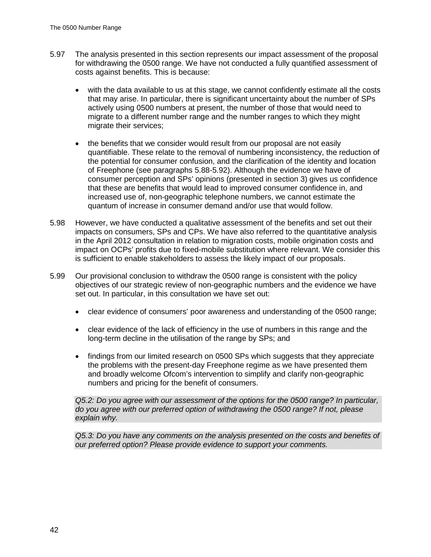- 5.97 The analysis presented in this section represents our impact assessment of the proposal for withdrawing the 0500 range. We have not conducted a fully quantified assessment of costs against benefits. This is because:
	- with the data available to us at this stage, we cannot confidently estimate all the costs that may arise. In particular, there is significant uncertainty about the number of SPs actively using 0500 numbers at present, the number of those that would need to migrate to a different number range and the number ranges to which they might migrate their services;
	- the benefits that we consider would result from our proposal are not easily quantifiable. These relate to the removal of numbering inconsistency, the reduction of the potential for consumer confusion, and the clarification of the identity and location of Freephone (see paragraphs 5.88-5.92). Although the evidence we have of consumer perception and SPs' opinions (presented in section 3) gives us confidence that these are benefits that would lead to improved consumer confidence in, and increased use of, non-geographic telephone numbers, we cannot estimate the quantum of increase in consumer demand and/or use that would follow.
- 5.98 However, we have conducted a qualitative assessment of the benefits and set out their impacts on consumers, SPs and CPs. We have also referred to the quantitative analysis in the April 2012 consultation in relation to migration costs, mobile origination costs and impact on OCPs' profits due to fixed-mobile substitution where relevant. We consider this is sufficient to enable stakeholders to assess the likely impact of our proposals.
- 5.99 Our provisional conclusion to withdraw the 0500 range is consistent with the policy objectives of our strategic review of non-geographic numbers and the evidence we have set out. In particular, in this consultation we have set out:
	- clear evidence of consumers' poor awareness and understanding of the 0500 range;
	- clear evidence of the lack of efficiency in the use of numbers in this range and the long-term decline in the utilisation of the range by SPs; and
	- findings from our limited research on 0500 SPs which suggests that they appreciate the problems with the present-day Freephone regime as we have presented them and broadly welcome Ofcom's intervention to simplify and clarify non-geographic numbers and pricing for the benefit of consumers.

*Q5.2: Do you agree with our assessment of the options for the 0500 range? In particular, do you agree with our preferred option of withdrawing the 0500 range? If not, please explain why.*

*Q5.3: Do you have any comments on the analysis presented on the costs and benefits of our preferred option? Please provide evidence to support your comments.*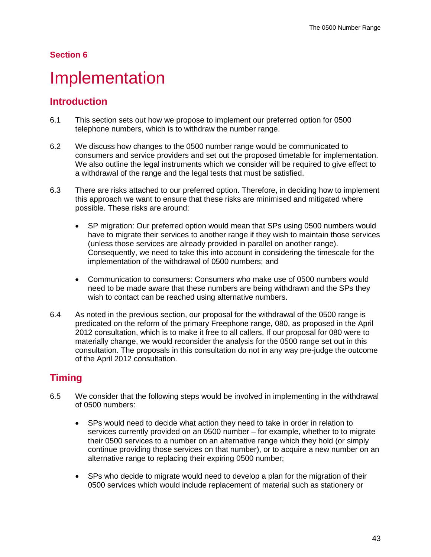## **Section 6**

# <span id="page-42-0"></span>**Implementation**

# **Introduction**

- 6.1 This section sets out how we propose to implement our preferred option for 0500 telephone numbers, which is to withdraw the number range.
- 6.2 We discuss how changes to the 0500 number range would be communicated to consumers and service providers and set out the proposed timetable for implementation. We also outline the legal instruments which we consider will be required to give effect to a withdrawal of the range and the legal tests that must be satisfied.
- 6.3 There are risks attached to our preferred option. Therefore, in deciding how to implement this approach we want to ensure that these risks are minimised and mitigated where possible. These risks are around:
	- SP migration: Our preferred option would mean that SPs using 0500 numbers would have to migrate their services to another range if they wish to maintain those services (unless those services are already provided in parallel on another range). Consequently, we need to take this into account in considering the timescale for the implementation of the withdrawal of 0500 numbers; and
	- Communication to consumers: Consumers who make use of 0500 numbers would need to be made aware that these numbers are being withdrawn and the SPs they wish to contact can be reached using alternative numbers.
- 6.4 As noted in the previous section, our proposal for the withdrawal of the 0500 range is predicated on the reform of the primary Freephone range, 080, as proposed in the April 2012 consultation, which is to make it free to all callers. If our proposal for 080 were to materially change, we would reconsider the analysis for the 0500 range set out in this consultation. The proposals in this consultation do not in any way pre-judge the outcome of the April 2012 consultation.

# **Timing**

- 6.5 We consider that the following steps would be involved in implementing in the withdrawal of 0500 numbers:
	- SPs would need to decide what action they need to take in order in relation to services currently provided on an 0500 number – for example, whether to to migrate their 0500 services to a number on an alternative range which they hold (or simply continue providing those services on that number), or to acquire a new number on an alternative range to replacing their expiring 0500 number;
	- SPs who decide to migrate would need to develop a plan for the migration of their 0500 services which would include replacement of material such as stationery or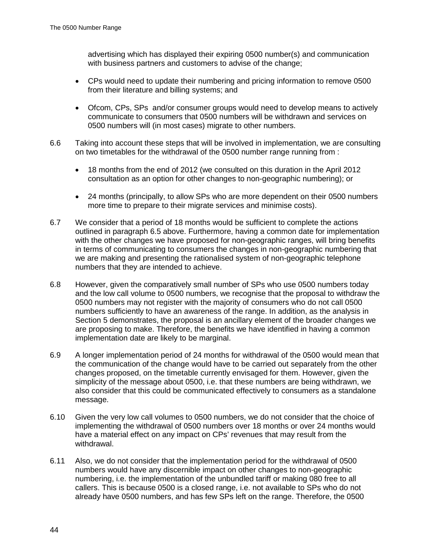advertising which has displayed their expiring 0500 number(s) and communication with business partners and customers to advise of the change;

- CPs would need to update their numbering and pricing information to remove 0500 from their literature and billing systems; and
- Ofcom, CPs, SPs and/or consumer groups would need to develop means to actively communicate to consumers that 0500 numbers will be withdrawn and services on 0500 numbers will (in most cases) migrate to other numbers.
- 6.6 Taking into account these steps that will be involved in implementation, we are consulting on two timetables for the withdrawal of the 0500 number range running from :
	- 18 months from the end of 2012 (we consulted on this duration in the April 2012 consultation as an option for other changes to non-geographic numbering); or
	- 24 months (principally, to allow SPs who are more dependent on their 0500 numbers more time to prepare to their migrate services and minimise costs).
- 6.7 We consider that a period of 18 months would be sufficient to complete the actions outlined in paragraph 6.5 above. Furthermore, having a common date for implementation with the other changes we have proposed for non-geographic ranges, will bring benefits in terms of communicating to consumers the changes in non-geographic numbering that we are making and presenting the rationalised system of non-geographic telephone numbers that they are intended to achieve.
- 6.8 However, given the comparatively small number of SPs who use 0500 numbers today and the low call volume to 0500 numbers, we recognise that the proposal to withdraw the 0500 numbers may not register with the majority of consumers who do not call 0500 numbers sufficiently to have an awareness of the range. In addition, as the analysis in Section 5 demonstrates, the proposal is an ancillary element of the broader changes we are proposing to make. Therefore, the benefits we have identified in having a common implementation date are likely to be marginal.
- 6.9 A longer implementation period of 24 months for withdrawal of the 0500 would mean that the communication of the change would have to be carried out separately from the other changes proposed, on the timetable currently envisaged for them. However, given the simplicity of the message about 0500, i.e. that these numbers are being withdrawn, we also consider that this could be communicated effectively to consumers as a standalone message.
- 6.10 Given the very low call volumes to 0500 numbers, we do not consider that the choice of implementing the withdrawal of 0500 numbers over 18 months or over 24 months would have a material effect on any impact on CPs' revenues that may result from the withdrawal.
- 6.11 Also, we do not consider that the implementation period for the withdrawal of 0500 numbers would have any discernible impact on other changes to non-geographic numbering, i.e. the implementation of the unbundled tariff or making 080 free to all callers. This is because 0500 is a closed range, i.e. not available to SPs who do not already have 0500 numbers, and has few SPs left on the range. Therefore, the 0500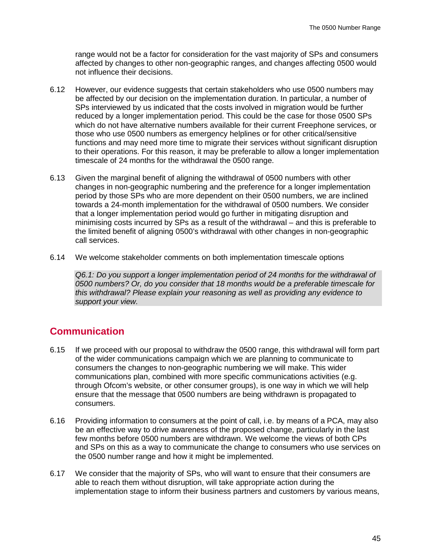range would not be a factor for consideration for the vast majority of SPs and consumers affected by changes to other non-geographic ranges, and changes affecting 0500 would not influence their decisions.

- 6.12 However, our evidence suggests that certain stakeholders who use 0500 numbers may be affected by our decision on the implementation duration. In particular, a number of SPs interviewed by us indicated that the costs involved in migration would be further reduced by a longer implementation period. This could be the case for those 0500 SPs which do not have alternative numbers available for their current Freephone services, or those who use 0500 numbers as emergency helplines or for other critical/sensitive functions and may need more time to migrate their services without significant disruption to their operations. For this reason, it may be preferable to allow a longer implementation timescale of 24 months for the withdrawal the 0500 range.
- 6.13 Given the marginal benefit of aligning the withdrawal of 0500 numbers with other changes in non-geographic numbering and the preference for a longer implementation period by those SPs who are more dependent on their 0500 numbers, we are inclined towards a 24-month implementation for the withdrawal of 0500 numbers. We consider that a longer implementation period would go further in mitigating disruption and minimising costs incurred by SPs as a result of the withdrawal – and this is preferable to the limited benefit of aligning 0500's withdrawal with other changes in non-geographic call services.
- 6.14 We welcome stakeholder comments on both implementation timescale options

*Q6.1: Do you support a longer implementation period of 24 months for the withdrawal of 0500 numbers? Or, do you consider that 18 months would be a preferable timescale for this withdrawal? Please explain your reasoning as well as providing any evidence to support your view.* 

# **Communication**

- 6.15 If we proceed with our proposal to withdraw the 0500 range, this withdrawal will form part of the wider communications campaign which we are planning to communicate to consumers the changes to non-geographic numbering we will make. This wider communications plan, combined with more specific communications activities (e.g. through Ofcom's website, or other consumer groups), is one way in which we will help ensure that the message that 0500 numbers are being withdrawn is propagated to consumers.
- 6.16 Providing information to consumers at the point of call, i.e. by means of a PCA, may also be an effective way to drive awareness of the proposed change, particularly in the last few months before 0500 numbers are withdrawn. We welcome the views of both CPs and SPs on this as a way to communicate the change to consumers who use services on the 0500 number range and how it might be implemented.
- 6.17 We consider that the majority of SPs, who will want to ensure that their consumers are able to reach them without disruption, will take appropriate action during the implementation stage to inform their business partners and customers by various means,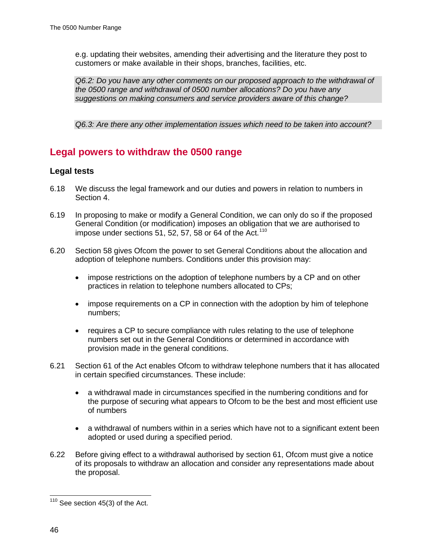e.g. updating their websites, amending their advertising and the literature they post to customers or make available in their shops, branches, facilities, etc.

*Q6.2: Do you have any other comments on our proposed approach to the withdrawal of the 0500 range and withdrawal of 0500 number allocations? Do you have any suggestions on making consumers and service providers aware of this change?* 

*Q6.3: Are there any other implementation issues which need to be taken into account?* 

# **Legal powers to withdraw the 0500 range**

## **Legal tests**

- 6.18 We discuss the legal framework and our duties and powers in relation to numbers in Section 4.
- 6.19 In proposing to make or modify a General Condition, we can only do so if the proposed General Condition (or modification) imposes an obligation that we are authorised to impose under sections 51, 52, 57, 58 or 64 of the Act.<sup>[110](#page-45-0)</sup>
- 6.20 Section 58 gives Ofcom the power to set General Conditions about the allocation and adoption of telephone numbers. Conditions under this provision may:
	- impose restrictions on the adoption of telephone numbers by a CP and on other practices in relation to telephone numbers allocated to CPs;
	- impose requirements on a CP in connection with the adoption by him of telephone numbers;
	- requires a CP to secure compliance with rules relating to the use of telephone numbers set out in the General Conditions or determined in accordance with provision made in the general conditions.
- 6.21 Section 61 of the Act enables Ofcom to withdraw telephone numbers that it has allocated in certain specified circumstances. These include:
	- a withdrawal made in circumstances specified in the numbering conditions and for the purpose of securing what appears to Ofcom to be the best and most efficient use of numbers
	- a withdrawal of numbers within in a series which have not to a significant extent been adopted or used during a specified period.
- 6.22 Before giving effect to a withdrawal authorised by section 61, Ofcom must give a notice of its proposals to withdraw an allocation and consider any representations made about the proposal.

<span id="page-45-0"></span> $110$  See section 45(3) of the Act.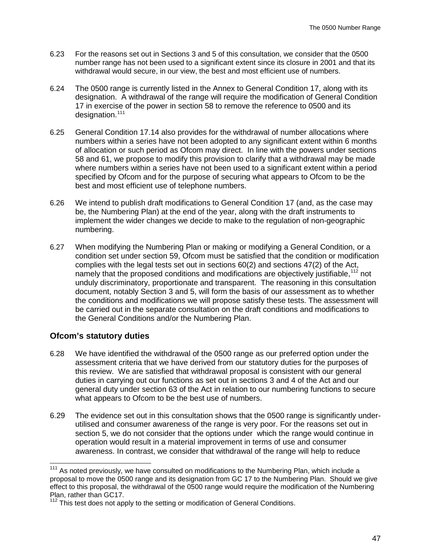- 6.23 For the reasons set out in Sections 3 and 5 of this consultation, we consider that the 0500 number range has not been used to a significant extent since its closure in 2001 and that its withdrawal would secure, in our view, the best and most efficient use of numbers.
- 6.24 The 0500 range is currently listed in the Annex to General Condition 17, along with its designation. A withdrawal of the range will require the modification of General Condition 17 in exercise of the power in section 58 to remove the reference to 0500 and its designation.<sup>[111](#page-46-0)</sup>
- 6.25 General Condition 17.14 also provides for the withdrawal of number allocations where numbers within a series have not been adopted to any significant extent within 6 months of allocation or such period as Ofcom may direct. In line with the powers under sections 58 and 61, we propose to modify this provision to clarify that a withdrawal may be made where numbers within a series have not been used to a significant extent within a period specified by Ofcom and for the purpose of securing what appears to Ofcom to be the best and most efficient use of telephone numbers.
- 6.26 We intend to publish draft modifications to General Condition 17 (and, as the case may be, the Numbering Plan) at the end of the year, along with the draft instruments to implement the wider changes we decide to make to the regulation of non-geographic numbering.
- 6.27 When modifying the Numbering Plan or making or modifying a General Condition, or a condition set under section 59, Ofcom must be satisfied that the condition or modification complies with the legal tests set out in sections 60(2) and sections 47(2) of the Act, namely that the proposed conditions and modifications are objectively justifiable,<sup>[112](#page-46-1)</sup> not unduly discriminatory, proportionate and transparent. The reasoning in this consultation document, notably Section 3 and 5, will form the basis of our assessment as to whether the conditions and modifications we will propose satisfy these tests. The assessment will be carried out in the separate consultation on the draft conditions and modifications to the General Conditions and/or the Numbering Plan.

## **Ofcom's statutory duties**

- 6.28 We have identified the withdrawal of the 0500 range as our preferred option under the assessment criteria that we have derived from our statutory duties for the purposes of this review. We are satisfied that withdrawal proposal is consistent with our general duties in carrying out our functions as set out in sections 3 and 4 of the Act and our general duty under section 63 of the Act in relation to our numbering functions to secure what appears to Ofcom to be the best use of numbers.
- 6.29 The evidence set out in this consultation shows that the 0500 range is significantly underutilised and consumer awareness of the range is very poor. For the reasons set out in section 5, we do not consider that the options under which the range would continue in operation would result in a material improvement in terms of use and consumer awareness. In contrast, we consider that withdrawal of the range will help to reduce

<span id="page-46-0"></span><sup>&</sup>lt;sup>111</sup> As noted previously, we have consulted on modifications to the Numbering Plan, which include a proposal to move the 0500 range and its designation from GC 17 to the Numbering Plan. Should we give effect to this proposal, the withdrawal of the 0500 range would require the modification of the Numbering Plan, rather than GC17.

<span id="page-46-1"></span> $112$  This test does not apply to the setting or modification of General Conditions.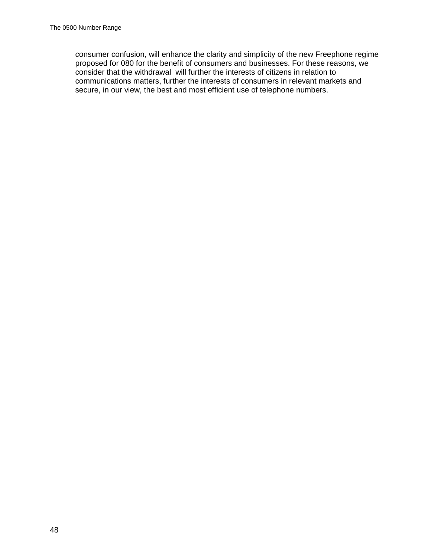consumer confusion, will enhance the clarity and simplicity of the new Freephone regime proposed for 080 for the benefit of consumers and businesses. For these reasons, we consider that the withdrawal will further the interests of citizens in relation to communications matters, further the interests of consumers in relevant markets and secure, in our view, the best and most efficient use of telephone numbers.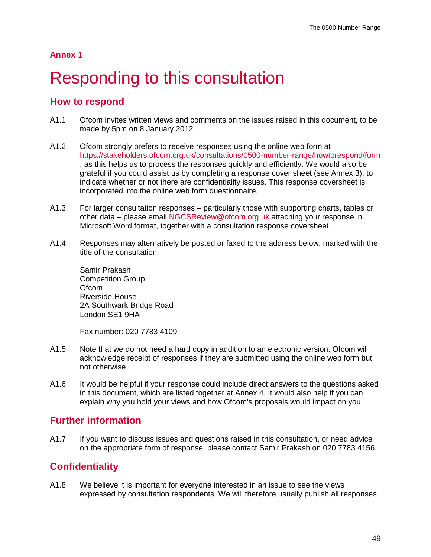## **Annex 1**

# <span id="page-48-0"></span>Responding to this consultation

# **How to respond**

- A1.1 Ofcom invites written views and comments on the issues raised in this document, to be made by 5pm on 8 January 2012.
- A1.2 Ofcom strongly prefers to receive responses using the online web form at <https://stakeholders.ofcom.org.uk/consultations/0500-number-range/howtorespond/form> , as this helps us to process the responses quickly and efficiently. We would also be grateful if you could assist us by completing a response cover sheet (see Annex 3), to indicate whether or not there are confidentiality issues. This response coversheet is incorporated into the online web form questionnaire.
- A1.3 For larger consultation responses particularly those with supporting charts, tables or other data – please email [NGCSReview@ofcom.org.uk](mailto:NGCSReview@ofcom.org.uk) attaching your response in Microsoft Word format, together with a consultation response coversheet.
- A1.4 Responses may alternatively be posted or faxed to the address below, marked with the title of the consultation.

Samir Prakash Competition Group **Ofcom** Riverside House 2A Southwark Bridge Road London SE1 9HA

Fax number: 020 7783 4109

- A1.5 Note that we do not need a hard copy in addition to an electronic version. Ofcom will acknowledge receipt of responses if they are submitted using the online web form but not otherwise.
- A1.6 It would be helpful if your response could include direct answers to the questions asked in this document, which are listed together at Annex 4. It would also help if you can explain why you hold your views and how Ofcom's proposals would impact on you.

# **Further information**

A1.7 If you want to discuss issues and questions raised in this consultation, or need advice on the appropriate form of response, please contact Samir Prakash on 020 7783 4156.

# **Confidentiality**

A1.8 We believe it is important for everyone interested in an issue to see the views expressed by consultation respondents. We will therefore usually publish all responses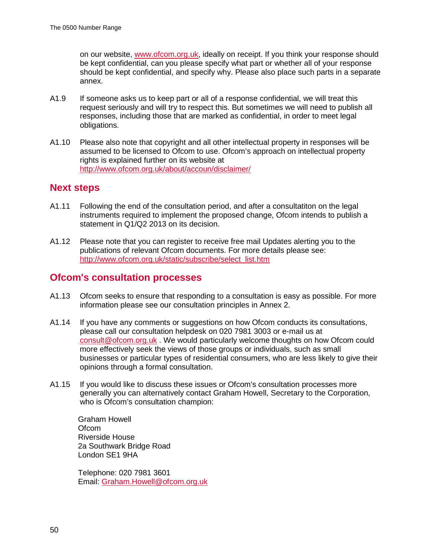on our website, [www.ofcom.org.uk,](http://www.ofcom.org.uk/) ideally on receipt. If you think your response should be kept confidential, can you please specify what part or whether all of your response should be kept confidential, and specify why. Please also place such parts in a separate annex.

- A1.9 If someone asks us to keep part or all of a response confidential, we will treat this request seriously and will try to respect this. But sometimes we will need to publish all responses, including those that are marked as confidential, in order to meet legal obligations.
- A1.10 Please also note that copyright and all other intellectual property in responses will be assumed to be licensed to Ofcom to use. Ofcom's approach on intellectual property rights is explained further on its website at <http://www.ofcom.org.uk/about/accoun/disclaimer/>

# **Next steps**

- A1.11 Following the end of the consultation period, and after a consultatiton on the legal instruments required to implement the proposed change, Ofcom intends to publish a statement in Q1/Q2 2013 on its decision.
- A1.12 Please note that you can register to receive free mail Updates alerting you to the publications of relevant Ofcom documents. For more details please see: [http://www.ofcom.org.uk/static/subscribe/select\\_list.htm](http://www.ofcom.org.uk/static/subscribe/select_list.htm)

# **Ofcom's consultation processes**

- A1.13 Ofcom seeks to ensure that responding to a consultation is easy as possible. For more information please see our consultation principles in Annex 2.
- A1.14 If you have any comments or suggestions on how Ofcom conducts its consultations, please call our consultation helpdesk on 020 7981 3003 or e-mail us at [consult@ofcom.org.uk](mailto:consult@ofcom.org.uk) . We would particularly welcome thoughts on how Ofcom could more effectively seek the views of those groups or individuals, such as small businesses or particular types of residential consumers, who are less likely to give their opinions through a formal consultation.
- A1.15 If you would like to discuss these issues or Ofcom's consultation processes more generally you can alternatively contact Graham Howell, Secretary to the Corporation, who is Ofcom's consultation champion:

Graham Howell **Ofcom** Riverside House 2a Southwark Bridge Road London SE1 9HA

Telephone: 020 7981 3601 Email: [Graham.Howell@ofcom.org.uk](mailto:Graham.Howell@ofcom.org.uk)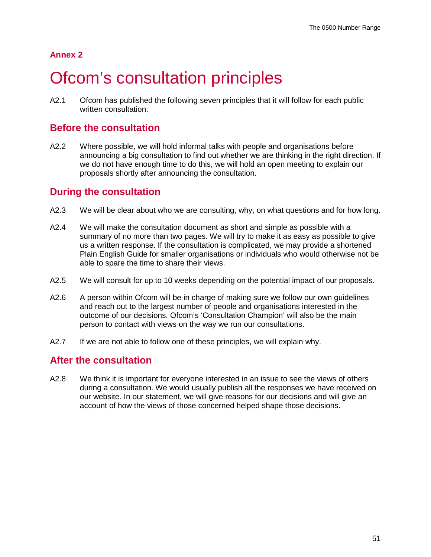## <span id="page-50-0"></span>**Annex 2**

# **Ofcom's consultation principles**

A2.1 Ofcom has published the following seven principles that it will follow for each public written consultation:

# **Before the consultation**

A2.2 Where possible, we will hold informal talks with people and organisations before announcing a big consultation to find out whether we are thinking in the right direction. If we do not have enough time to do this, we will hold an open meeting to explain our proposals shortly after announcing the consultation.

## **During the consultation**

- A2.3 We will be clear about who we are consulting, why, on what questions and for how long.
- A2.4 We will make the consultation document as short and simple as possible with a summary of no more than two pages. We will try to make it as easy as possible to give us a written response. If the consultation is complicated, we may provide a shortened Plain English Guide for smaller organisations or individuals who would otherwise not be able to spare the time to share their views.
- A2.5 We will consult for up to 10 weeks depending on the potential impact of our proposals.
- A2.6 A person within Ofcom will be in charge of making sure we follow our own guidelines and reach out to the largest number of people and organisations interested in the outcome of our decisions. Ofcom's 'Consultation Champion' will also be the main person to contact with views on the way we run our consultations.
- A2.7 If we are not able to follow one of these principles, we will explain why.

# **After the consultation**

A2.8 We think it is important for everyone interested in an issue to see the views of others during a consultation. We would usually publish all the responses we have received on our website. In our statement, we will give reasons for our decisions and will give an account of how the views of those concerned helped shape those decisions.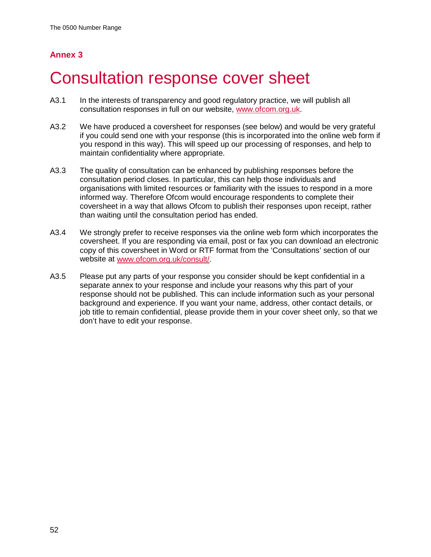# **Annex 3**

# <span id="page-51-0"></span>Consultation response cover sheet

- A3.1 In the interests of transparency and good regulatory practice, we will publish all consultation responses in full on our website, [www.ofcom.org.uk.](http://www.ofcom.org.uk/)
- A3.2 We have produced a coversheet for responses (see below) and would be very grateful if you could send one with your response (this is incorporated into the online web form if you respond in this way). This will speed up our processing of responses, and help to maintain confidentiality where appropriate.
- A3.3 The quality of consultation can be enhanced by publishing responses before the consultation period closes. In particular, this can help those individuals and organisations with limited resources or familiarity with the issues to respond in a more informed way. Therefore Ofcom would encourage respondents to complete their coversheet in a way that allows Ofcom to publish their responses upon receipt, rather than waiting until the consultation period has ended.
- A3.4 We strongly prefer to receive responses via the online web form which incorporates the coversheet. If you are responding via email, post or fax you can download an electronic copy of this coversheet in Word or RTF format from the 'Consultations' section of our website at [www.ofcom.org.uk/consult/.](http://www.ofcom.org.uk/consult/)
- A3.5 Please put any parts of your response you consider should be kept confidential in a separate annex to your response and include your reasons why this part of your response should not be published. This can include information such as your personal background and experience. If you want your name, address, other contact details, or job title to remain confidential, please provide them in your cover sheet only, so that we don't have to edit your response.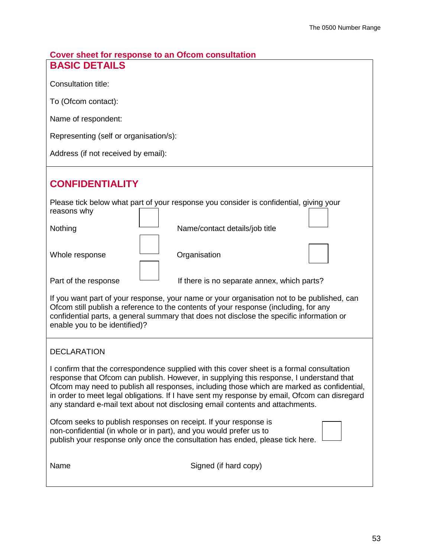| Cover sheet for response to an Ofcom consultation |  |  |
|---------------------------------------------------|--|--|
| _ . _ . _ _ _ _ _                                 |  |  |

# **BASIC DETAILS**

Consultation title:

To (Ofcom contact):

Name of respondent:

Representing (self or organisation/s):

|  |  | Address (if not received by email): |  |
|--|--|-------------------------------------|--|
|--|--|-------------------------------------|--|

# **CONFIDENTIALITY**

| reasons why                   | Please tick below what part of your response you consider is confidential, giving your                                                                                                                                                                                                                                                                                                                                                                              |
|-------------------------------|---------------------------------------------------------------------------------------------------------------------------------------------------------------------------------------------------------------------------------------------------------------------------------------------------------------------------------------------------------------------------------------------------------------------------------------------------------------------|
| Nothing                       | Name/contact details/job title                                                                                                                                                                                                                                                                                                                                                                                                                                      |
| Whole response                | Organisation                                                                                                                                                                                                                                                                                                                                                                                                                                                        |
| Part of the response          | If there is no separate annex, which parts?                                                                                                                                                                                                                                                                                                                                                                                                                         |
| enable you to be identified)? | If you want part of your response, your name or your organisation not to be published, can<br>Ofcom still publish a reference to the contents of your response (including, for any<br>confidential parts, a general summary that does not disclose the specific information or                                                                                                                                                                                      |
|                               |                                                                                                                                                                                                                                                                                                                                                                                                                                                                     |
| <b>DECLARATION</b>            |                                                                                                                                                                                                                                                                                                                                                                                                                                                                     |
|                               | I confirm that the correspondence supplied with this cover sheet is a formal consultation<br>response that Ofcom can publish. However, in supplying this response, I understand that<br>Ofcom may need to publish all responses, including those which are marked as confidential,<br>in order to meet legal obligations. If I have sent my response by email, Ofcom can disregard<br>any standard e-mail text about not disclosing email contents and attachments. |
|                               | Ofcom seeks to publish responses on receipt. If your response is<br>non-confidential (in whole or in part), and you would prefer us to<br>publish your response only once the consultation has ended, please tick here.                                                                                                                                                                                                                                             |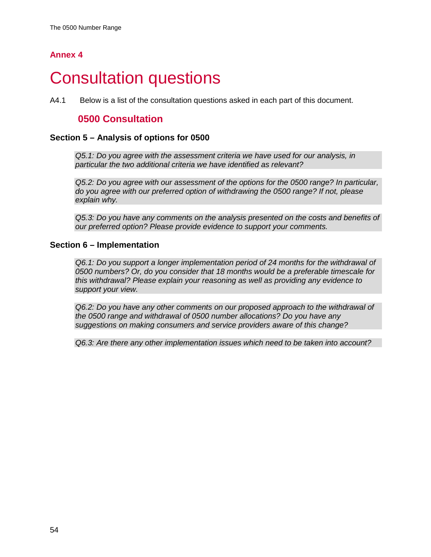# **Annex 4**

# <span id="page-53-0"></span>**Consultation questions**

A4.1 Below is a list of the consultation questions asked in each part of this document.

# **0500 Consultation**

## **Section 5 – Analysis of options for 0500**

*Q5.1: Do you agree with the assessment criteria we have used for our analysis, in particular the two additional criteria we have identified as relevant?* 

*Q5.2: Do you agree with our assessment of the options for the 0500 range? In particular, do you agree with our preferred option of withdrawing the 0500 range? If not, please explain why.*

*Q5.3: Do you have any comments on the analysis presented on the costs and benefits of our preferred option? Please provide evidence to support your comments.*

## **Section 6 – Implementation**

*Q6.1: Do you support a longer implementation period of 24 months for the withdrawal of 0500 numbers? Or, do you consider that 18 months would be a preferable timescale for this withdrawal? Please explain your reasoning as well as providing any evidence to support your view.* 

*Q6.2: Do you have any other comments on our proposed approach to the withdrawal of the 0500 range and withdrawal of 0500 number allocations? Do you have any suggestions on making consumers and service providers aware of this change?* 

*Q6.3: Are there any other implementation issues which need to be taken into account?*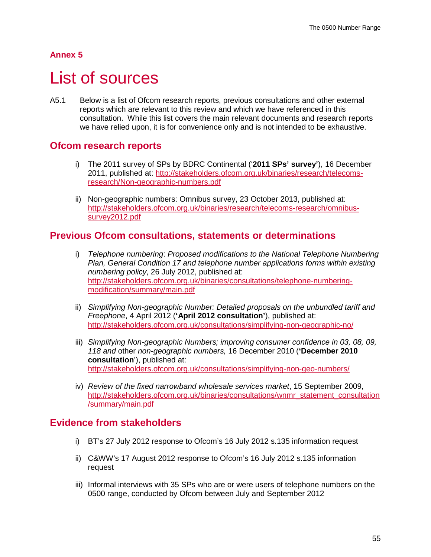## <span id="page-54-0"></span>**Annex 5**

# List of sources

A5.1 Below is a list of Ofcom research reports, previous consultations and other external reports which are relevant to this review and which we have referenced in this consultation. While this list covers the main relevant documents and research reports we have relied upon, it is for convenience only and is not intended to be exhaustive.

# **Ofcom research reports**

- i) The 2011 survey of SPs by BDRC Continental ('**2011 SPs' survey'**), 16 December 2011, published at: [http://stakeholders.ofcom.org.uk/binaries/research/telecoms](http://stakeholders.ofcom.org.uk/binaries/research/telecoms-research/Non-geographic-numbers.pdf)[research/Non-geographic-numbers.pdf](http://stakeholders.ofcom.org.uk/binaries/research/telecoms-research/Non-geographic-numbers.pdf)
- ii) Non-geographic numbers: Omnibus survey, 23 October 2013, published at: [http://stakeholders.ofcom.org.uk/binaries/research/telecoms-research/omnibus](http://stakeholders.ofcom.org.uk/binaries/research/telecoms-research/omnibus-survey2012.pdf)[survey2012.pdf](http://stakeholders.ofcom.org.uk/binaries/research/telecoms-research/omnibus-survey2012.pdf)

# **Previous Ofcom consultations, statements or determinations**

- i) *Telephone numbering*: *Proposed modifications to the National Telephone Numbering Plan, General Condition 17 and telephone number applications forms within existing numbering policy*, 26 July 2012, published at: [http://stakeholders.ofcom.org.uk/binaries/consultations/telephone-numbering](http://stakeholders.ofcom.org.uk/binaries/consultations/telephone-numbering-modification/summary/main.pdf)[modification/summary/main.pdf](http://stakeholders.ofcom.org.uk/binaries/consultations/telephone-numbering-modification/summary/main.pdf)
- ii) *Simplifying Non-geographic Number: Detailed proposals on the unbundled tariff and Freephone*, 4 April 2012 (**'April 2012 consultation'**), published at: <http://stakeholders.ofcom.org.uk/consultations/simplifying-non-geographic-no/>
- iii) *Simplifying Non-geographic Numbers; improving consumer confidence in 03, 08, 09, 118 and* other *non-geographic numbers,* 16 December 2010 (**'December 2010 consultation**'), published at: <http://stakeholders.ofcom.org.uk/consultations/simplifying-non-geo-numbers/>
- iv) *Review of the fixed narrowband wholesale services market*, 15 September 2009, [http://stakeholders.ofcom.org.uk/binaries/consultations/wnmr\\_statement\\_consultation](http://stakeholders.ofcom.org.uk/binaries/consultations/wnmr_statement_consultation/summary/main.pdf) [/summary/main.pdf](http://stakeholders.ofcom.org.uk/binaries/consultations/wnmr_statement_consultation/summary/main.pdf)

# **Evidence from stakeholders**

- i) BT's 27 July 2012 response to Ofcom's 16 July 2012 s.135 information request
- ii) C&WW's 17 August 2012 response to Ofcom's 16 July 2012 s.135 information request
- iii) Informal interviews with 35 SPs who are or were users of telephone numbers on the 0500 range, conducted by Ofcom between July and September 2012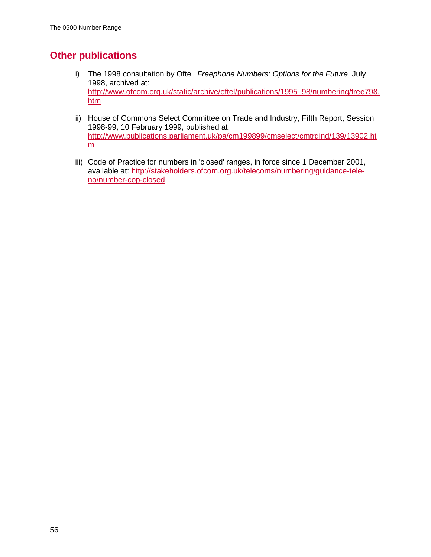# **Other publications**

- i) The 1998 consultation by Oftel, *Freephone Numbers: Options for the Future*, July 1998, archived at: [http://www.ofcom.org.uk/static/archive/oftel/publications/1995\\_98/numbering/free798.](http://www.ofcom.org.uk/static/archive/oftel/publications/1995_98/numbering/free798.htm) [htm](http://www.ofcom.org.uk/static/archive/oftel/publications/1995_98/numbering/free798.htm)
- ii) House of Commons Select Committee on Trade and Industry, Fifth Report, Session 1998-99, 10 February 1999, published at: [http://www.publications.parliament.uk/pa/cm199899/cmselect/cmtrdind/139/13902.ht](http://www.publications.parliament.uk/pa/cm199899/cmselect/cmtrdind/139/13902.htm) [m](http://www.publications.parliament.uk/pa/cm199899/cmselect/cmtrdind/139/13902.htm)
- iii) Code of Practice for numbers in 'closed' ranges, in force since 1 December 2001, available at: [http://stakeholders.ofcom.org.uk/telecoms/numbering/guidance-tele](http://stakeholders.ofcom.org.uk/telecoms/numbering/guidance-tele-no/number-cop-closed)[no/number-cop-closed](http://stakeholders.ofcom.org.uk/telecoms/numbering/guidance-tele-no/number-cop-closed)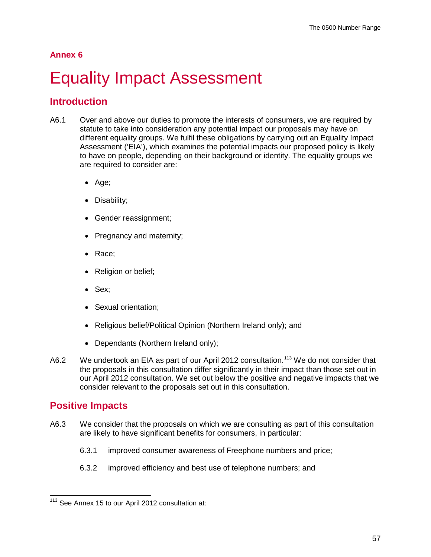## **Annex 6**

# <span id="page-56-0"></span>6 Equality Impact Assessment

# **Introduction**

- A6.1 Over and above our duties to promote the interests of consumers, we are required by statute to take into consideration any potential impact our proposals may have on different equality groups. We fulfil these obligations by carrying out an Equality Impact Assessment ('EIA'), which examines the potential impacts our proposed policy is likely to have on people, depending on their background or identity. The equality groups we are required to consider are:
	- Age;
	- Disability;
	- Gender reassignment;
	- Pregnancy and maternity;
	- Race;
	- Religion or belief;
	- Sex;
	- Sexual orientation;
	- Religious belief/Political Opinion (Northern Ireland only); and
	- Dependants (Northern Ireland only);
- A6.2 We undertook an EIA as part of our April 2012 consultation.<sup>[113](#page-56-1)</sup> We do not consider that the proposals in this consultation differ significantly in their impact than those set out in our April 2012 consultation. We set out below the positive and negative impacts that we consider relevant to the proposals set out in this consultation.

# **Positive Impacts**

- A6.3 We consider that the proposals on which we are consulting as part of this consultation are likely to have significant benefits for consumers, in particular:
	- 6.3.1 improved consumer awareness of Freephone numbers and price;
	- 6.3.2 improved efficiency and best use of telephone numbers; and

<span id="page-56-1"></span><sup>&</sup>lt;sup>113</sup> See Annex 15 to our April 2012 consultation at: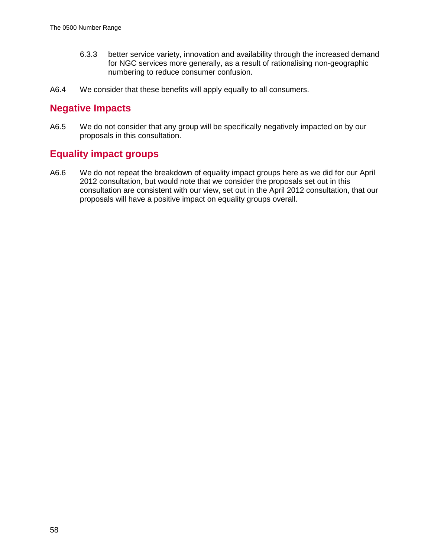- 6.3.3 better service variety, innovation and availability through the increased demand for NGC services more generally, as a result of rationalising non-geographic numbering to reduce consumer confusion.
- A6.4 We consider that these benefits will apply equally to all consumers.

# **Negative Impacts**

A6.5 We do not consider that any group will be specifically negatively impacted on by our proposals in this consultation.

# **Equality impact groups**

A6.6 We do not repeat the breakdown of equality impact groups here as we did for our April 2012 consultation, but would note that we consider the proposals set out in this consultation are consistent with our view, set out in the April 2012 consultation, that our proposals will have a positive impact on equality groups overall.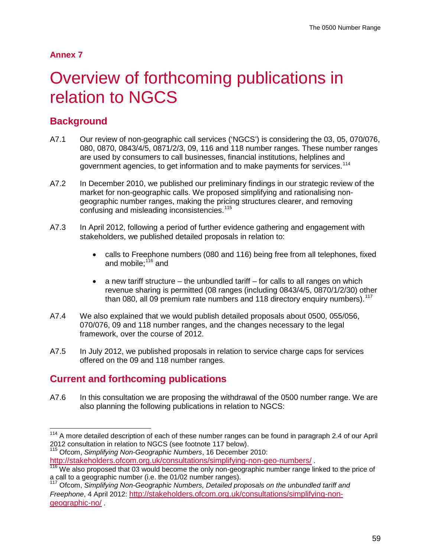## <span id="page-58-0"></span>**Annex 7**

# Overview of forthcoming publications in relation to NGCS

# **Background**

- A7.1 Our review of non-geographic call services ('NGCS') is considering the 03, 05, 070/076, 080, 0870, 0843/4/5, 0871/2/3, 09, 116 and 118 number ranges. These number ranges are used by consumers to call businesses, financial institutions, helplines and government agencies, to get information and to make payments for services.<sup>[114](#page-58-2)</sup>
- A7.2 In December 2010, we published our preliminary findings in our strategic review of the market for non-geographic calls. We proposed simplifying and rationalising nongeographic number ranges, making the pricing structures clearer, and removing confusing and misleading inconsistencies.<sup>[115](#page-58-3)</sup>
- A7.3 In April 2012, following a period of further evidence gathering and engagement with stakeholders, we published detailed proposals in relation to:
	- calls to Freephone numbers (080 and 116) being free from all telephones, fixed and mobile: $116$  and
	- $\bullet$  a new tariff structure the unbundled tariff for calls to all ranges on which revenue sharing is permitted (08 ranges (including 0843/4/5, 0870/1/2/30) other than 080, all 09 premium rate numbers and 118 directory enquiry numbers).<sup>[117](#page-58-5)</sup>
- <span id="page-58-1"></span>A7.4 We also explained that we would publish detailed proposals about 0500, 055/056, 070/076, 09 and 118 number ranges, and the changes necessary to the legal framework, over the course of 2012.
- A7.5 In July 2012, we published proposals in relation to service charge caps for services offered on the 09 and 118 number ranges.

# **Current and forthcoming publications**

A7.6 In this consultation we are proposing the withdrawal of the 0500 number range. We are also planning the following publications in relation to NGCS:

<span id="page-58-2"></span><sup>&</sup>lt;sup>114</sup> A more detailed description of each of these number ranges can be found in paragraph 2.4 of our April

<span id="page-58-3"></span><sup>2012</sup> consultation in relation to NGCS (see footnote [117](#page-58-1) below).<br><sup>115</sup> Ofcom, *Simplifying Non-Geographic Numbers*, 16 December 2010:<br>http://stakeholders.ofcom.org.uk/consultations/simplifying-non-geo-numbers/

<span id="page-58-4"></span> $\frac{116}{116}$  We also proposed that 03 would become the only non-geographic number range linked to the price of a call to a geographic number (i.e. the 01/02 number ranges).

<span id="page-58-5"></span><sup>117</sup> Ofcom, *Simplifying Non-Geographic Numbers, Detailed proposals on the unbundled tariff and Freephone*, 4 April 2012: [http://stakeholders.ofcom.org.uk/consultations/simplifying-non](http://stakeholders.ofcom.org.uk/consultations/simplifying-non-geographic-no/)[geographic-no/](http://stakeholders.ofcom.org.uk/consultations/simplifying-non-geographic-no/) .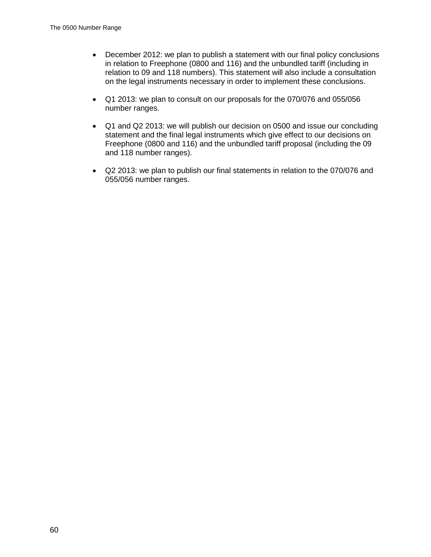- December 2012: we plan to publish a statement with our final policy conclusions in relation to Freephone (0800 and 116) and the unbundled tariff (including in relation to 09 and 118 numbers). This statement will also include a consultation on the legal instruments necessary in order to implement these conclusions.
- Q1 2013: we plan to consult on our proposals for the 070/076 and 055/056 number ranges.
- Q1 and Q2 2013: we will publish our decision on 0500 and issue our concluding statement and the final legal instruments which give effect to our decisions on Freephone (0800 and 116) and the unbundled tariff proposal (including the 09 and 118 number ranges).
- Q2 2013: we plan to publish our final statements in relation to the 070/076 and 055/056 number ranges.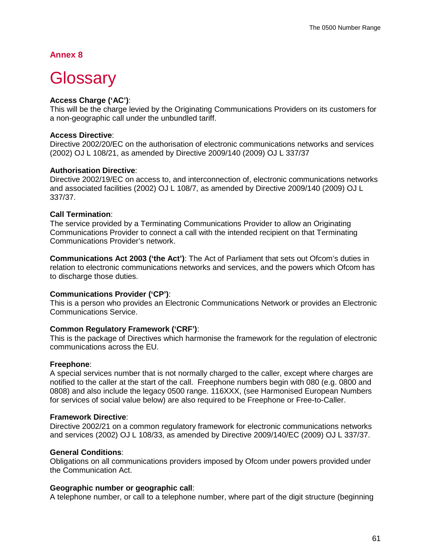## <span id="page-60-0"></span>**Annex 8**

# **Glossary**

## **Access Charge ('AC')**:

This will be the charge levied by the Originating Communications Providers on its customers for a non-geographic call under the unbundled tariff.

#### **Access Directive**:

Directive 2002/20/EC on the authorisation of electronic communications networks and services (2002) OJ L 108/21, as amended by Directive 2009/140 (2009) OJ L 337/37

### **Authorisation Directive**:

Directive 2002/19/EC on access to, and interconnection of, electronic communications networks and associated facilities (2002) OJ L 108/7, as amended by Directive 2009/140 (2009) OJ L 337/37.

### **Call Termination**:

The service provided by a Terminating Communications Provider to allow an Originating Communications Provider to connect a call with the intended recipient on that Terminating Communications Provider's network.

**Communications Act 2003 ('the Act')**: The Act of Parliament that sets out Ofcom's duties in relation to electronic communications networks and services, and the powers which Ofcom has to discharge those duties.

#### **Communications Provider ('CP')**:

This is a person who provides an Electronic Communications Network or provides an Electronic Communications Service.

#### **Common Regulatory Framework ('CRF')**:

This is the package of Directives which harmonise the framework for the regulation of electronic communications across the EU.

#### **Freephone**:

A special services number that is not normally charged to the caller, except where charges are notified to the caller at the start of the call. Freephone numbers begin with 080 (e.g. 0800 and 0808) and also include the legacy 0500 range. 116XXX, (see Harmonised European Numbers for services of social value below) are also required to be Freephone or Free-to-Caller.

#### **Framework Directive**:

Directive 2002/21 on a common regulatory framework for electronic communications networks and services (2002) OJ L 108/33, as amended by Directive 2009/140/EC (2009) OJ L 337/37.

#### **General Conditions**:

Obligations on all communications providers imposed by Ofcom under powers provided under the Communication Act.

#### **Geographic number or geographic call**:

A telephone number, or call to a telephone number, where part of the digit structure (beginning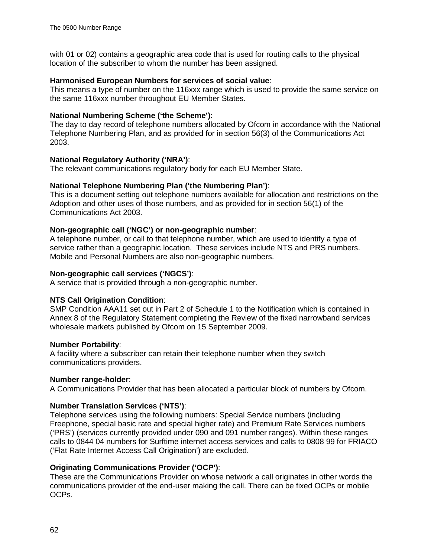with 01 or 02) contains a geographic area code that is used for routing calls to the physical location of the subscriber to whom the number has been assigned.

#### **Harmonised European Numbers for services of social value**:

This means a type of number on the 116xxx range which is used to provide the same service on the same 116xxx number throughout EU Member States.

### **National Numbering Scheme ('the Scheme')**:

The day to day record of telephone numbers allocated by Ofcom in accordance with the National Telephone Numbering Plan, and as provided for in section 56(3) of the Communications Act 2003.

### **National Regulatory Authority ('NRA')**:

The relevant communications regulatory body for each EU Member State.

### **National Telephone Numbering Plan ('the Numbering Plan')**:

This is a document setting out telephone numbers available for allocation and restrictions on the Adoption and other uses of those numbers, and as provided for in section 56(1) of the Communications Act 2003.

### **Non-geographic call ('NGC') or non-geographic number**:

A telephone number, or call to that telephone number, which are used to identify a type of service rather than a geographic location. These services include NTS and PRS numbers. Mobile and Personal Numbers are also non-geographic numbers.

### **Non-geographic call services ('NGCS')**:

A service that is provided through a non-geographic number.

## **NTS Call Origination Condition**:

SMP Condition AAA11 set out in Part 2 of Schedule 1 to the Notification which is contained in Annex 8 of the Regulatory Statement completing the Review of the fixed narrowband services wholesale markets published by Ofcom on 15 September 2009.

#### **Number Portability**:

A facility where a subscriber can retain their telephone number when they switch communications providers.

#### **Number range-holder**:

A Communications Provider that has been allocated a particular block of numbers by Ofcom.

## **Number Translation Services ('NTS')**:

Telephone services using the following numbers: Special Service numbers (including Freephone, special basic rate and special higher rate) and Premium Rate Services numbers ('PRS') (services currently provided under 090 and 091 number ranges). Within these ranges calls to 0844 04 numbers for Surftime internet access services and calls to 0808 99 for FRIACO ('Flat Rate Internet Access Call Origination') are excluded.

## **Originating Communications Provider ('OCP')**:

These are the Communications Provider on whose network a call originates in other words the communications provider of the end-user making the call. There can be fixed OCPs or mobile OCPs.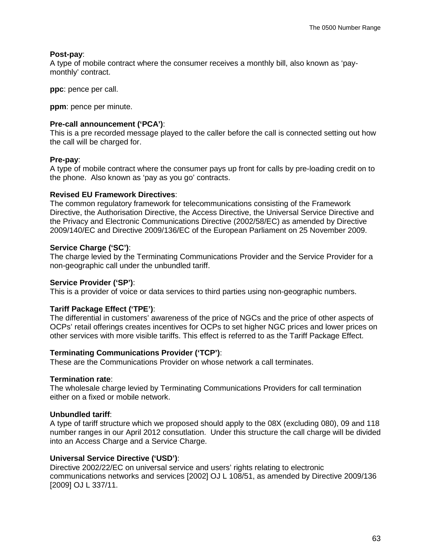#### **Post-pay**:

A type of mobile contract where the consumer receives a monthly bill, also known as 'paymonthly' contract.

**ppc**: pence per call.

**ppm**: pence per minute.

#### **Pre-call announcement ('PCA')**:

This is a pre recorded message played to the caller before the call is connected setting out how the call will be charged for.

#### **Pre-pay**:

A type of mobile contract where the consumer pays up front for calls by pre-loading credit on to the phone. Also known as 'pay as you go' contracts.

### **Revised EU Framework Directives**:

The common regulatory framework for telecommunications consisting of the Framework Directive, the Authorisation Directive, the Access Directive, the Universal Service Directive and the Privacy and Electronic Communications Directive (2002/58/EC) as amended by Directive 2009/140/EC and Directive 2009/136/EC of the European Parliament on 25 November 2009.

### **Service Charge ('SC')**:

The charge levied by the Terminating Communications Provider and the Service Provider for a non-geographic call under the unbundled tariff.

### **Service Provider ('SP')**:

This is a provider of voice or data services to third parties using non-geographic numbers.

## **Tariff Package Effect ('TPE')**:

The differential in customers' awareness of the price of NGCs and the price of other aspects of OCPs' retail offerings creates incentives for OCPs to set higher NGC prices and lower prices on other services with more visible tariffs. This effect is referred to as the Tariff Package Effect.

#### **Terminating Communications Provider ('TCP')**:

These are the Communications Provider on whose network a call terminates.

#### **Termination rate**:

The wholesale charge levied by Terminating Communications Providers for call termination either on a fixed or mobile network.

#### **Unbundled tariff**:

A type of tariff structure which we proposed should apply to the 08X (excluding 080), 09 and 118 number ranges in our April 2012 consutlation. Under this structure the call charge will be divided into an Access Charge and a Service Charge.

#### **Universal Service Directive ('USD')**:

Directive 2002/22/EC on universal service and users' rights relating to electronic communications networks and services [2002] OJ L 108/51, as amended by Directive 2009/136 [2009] OJ L 337/11.